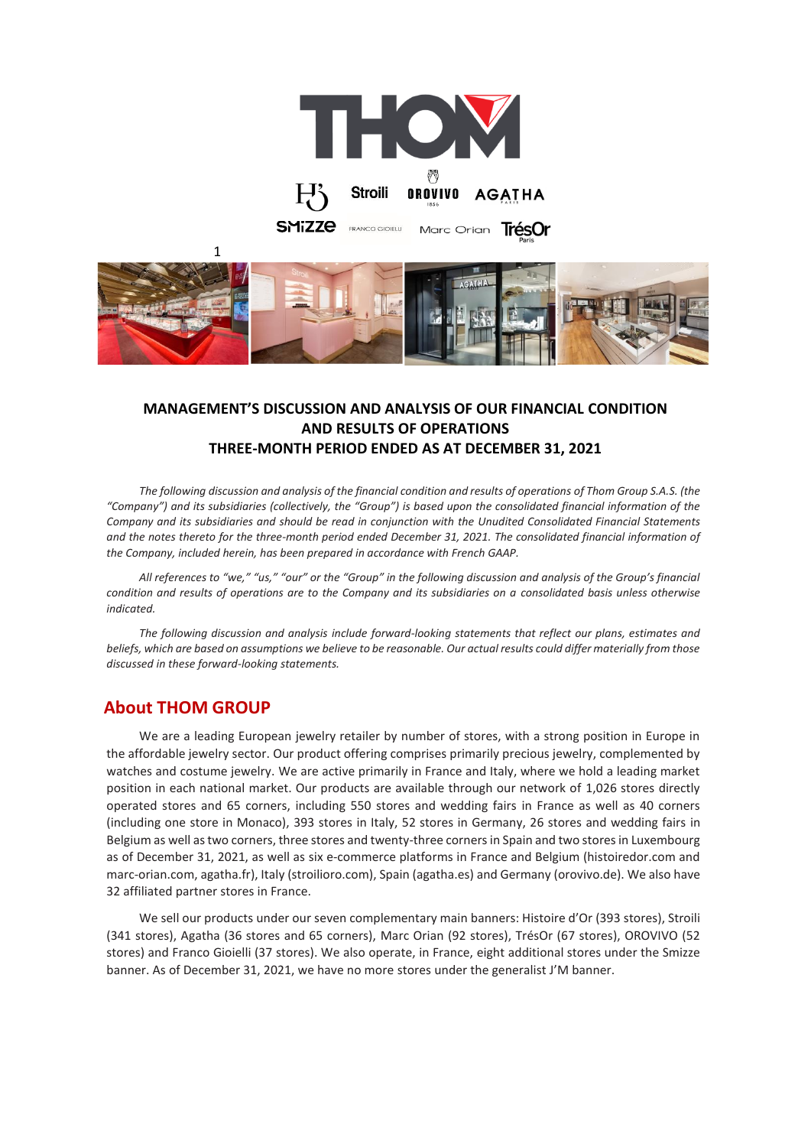



# **MANAGEMENT'S DISCUSSION AND ANALYSIS OF OUR FINANCIAL CONDITION AND RESULTS OF OPERATIONS THREE-MONTH PERIOD ENDED AS AT DECEMBER 31, 2021**

*The following discussion and analysis of the financial condition and results of operations of Thom Group S.A.S. (the "Company") and its subsidiaries (collectively, the "Group") is based upon the consolidated financial information of the Company and its subsidiaries and should be read in conjunction with the Unudited Consolidated Financial Statements and the notes thereto for the three-month period ended December 31, 2021. The consolidated financial information of the Company, included herein, has been prepared in accordance with French GAAP.* 

*All references to "we," "us," "our" or the "Group" in the following discussion and analysis of the Group's financial condition and results of operations are to the Company and its subsidiaries on a consolidated basis unless otherwise indicated.*

*The following discussion and analysis include forward-looking statements that reflect our plans, estimates and beliefs, which are based on assumptions we believe to be reasonable. Our actual results could differ materially from those discussed in these forward-looking statements.* 

# **About THOM GROUP**

We are a leading European jewelry retailer by number of stores, with a strong position in Europe in the affordable jewelry sector. Our product offering comprises primarily precious jewelry, complemented by watches and costume jewelry. We are active primarily in France and Italy, where we hold a leading market position in each national market. Our products are available through our network of 1,026 stores directly operated stores and 65 corners, including 550 stores and wedding fairs in France as well as 40 corners (including one store in Monaco), 393 stores in Italy, 52 stores in Germany, 26 stores and wedding fairs in Belgium as well as two corners, three stores and twenty-three corners in Spain and two storesin Luxembourg as of December 31, 2021, as well as six e-commerce platforms in France and Belgium (histoiredor.com and marc-orian.com, agatha.fr), Italy (stroilioro.com), Spain (agatha.es) and Germany (orovivo.de). We also have 32 affiliated partner stores in France.

We sell our products under our seven complementary main banners: Histoire d'Or (393 stores), Stroili (341 stores), Agatha (36 stores and 65 corners), Marc Orian (92 stores), TrésOr (67 stores), OROVIVO (52 stores) and Franco Gioielli (37 stores). We also operate, in France, eight additional stores under the Smizze banner. As of December 31, 2021, we have no more stores under the generalist J'M banner.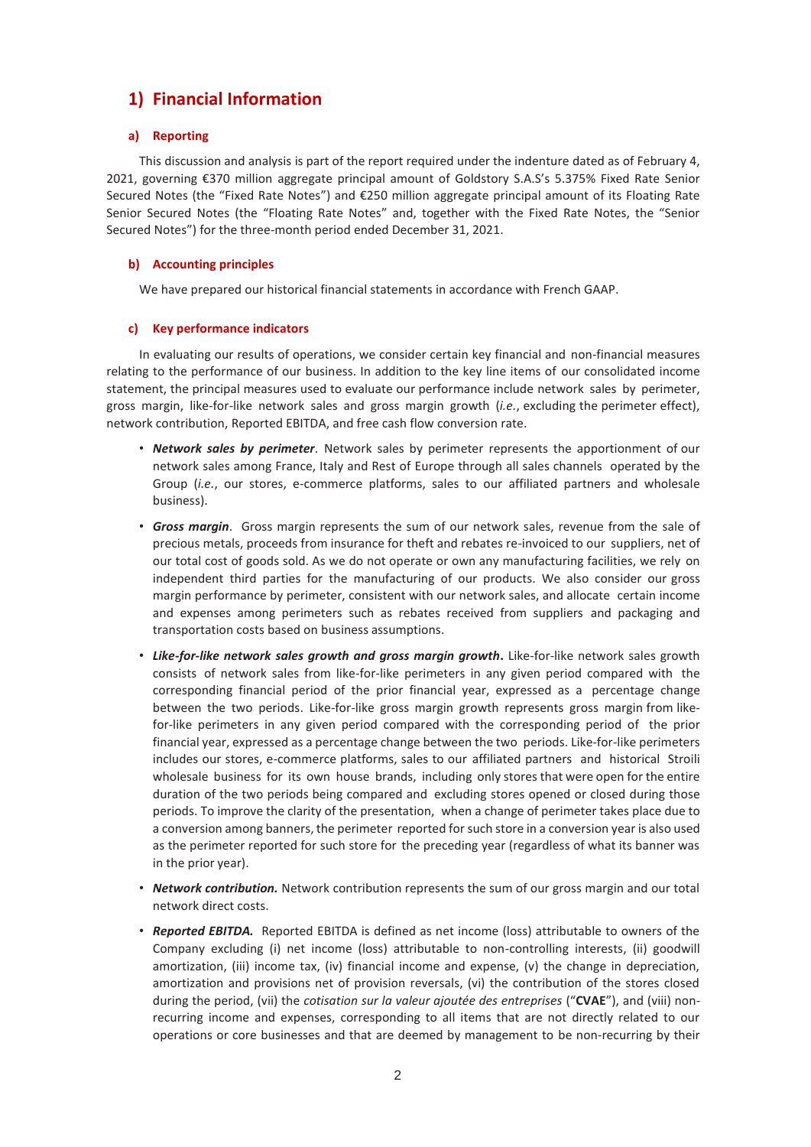# **1) Financial Information**

## **a) Reporting**

This discussion and analysis is part of the report required under the indenture dated as of February 4, 2021, governing €370 million aggregate principal amount of Goldstory S.A.S's 5.375% Fixed Rate Senior Secured Notes (the "Fixed Rate Notes") and €250 million aggregate principal amount of its Floating Rate Senior Secured Notes (the "Floating Rate Notes" and, together with the Fixed Rate Notes, the "Senior Secured Notes") for the three-month period ended December 31, 2021.

## **b) Accounting principles**

We have prepared our historical financial statements in accordance with French GAAP.

## **c) Key performance indicators**

In evaluating our results of operations, we consider certain key financial and non-financial measures relating to the performance of our business. In addition to the key line items of our consolidated income statement, the principal measures used to evaluate our performance include network sales by perimeter, gross margin, like-for-like network sales and gross margin growth (*i.e.*, excluding the perimeter effect), network contribution, Reported EBITDA, and free cash flow conversion rate.

- *Network sales by perimeter*. Network sales by perimeter represents the apportionment of our network sales among France, Italy and Rest of Europe through all sales channels operated by the Group (*i.e.*, our stores, e-commerce platforms, sales to our affiliated partners and wholesale business).
- *Gross margin*. Gross margin represents the sum of our network sales, revenue from the sale of precious metals, proceeds from insurance for theft and rebates re-invoiced to our suppliers, net of our total cost of goods sold. As we do not operate or own any manufacturing facilities, we rely on independent third parties for the manufacturing of our products. We also consider our gross margin performance by perimeter, consistent with our network sales, and allocate certain income and expenses among perimeters such as rebates received from suppliers and packaging and transportation costs based on business assumptions.
- Like-for-like network sales growth and gross margin growth. Like-for-like network sales growth consists of network sales from like-for-like perimeters in any given period compared with the corresponding financial period of the prior financial year, expressed as a percentage change between the two periods. Like-for-like gross margin growth represents gross margin from likefor-like perimeters in any given period compared with the corresponding period of the prior financial year, expressed as a percentage change between the two periods. Like-for-like perimeters includes our stores, e-commerce platforms, sales to our affiliated partners and historical Stroili wholesale business for its own house brands, including only stores that were open for the entire duration of the two periods being compared and excluding stores opened or closed during those periods. To improve the clarity of the presentation, when a change of perimeter takes place due to a conversion among banners, the perimeter reported for such store in a conversion year is also used as the perimeter reported for such store for the preceding year (regardless of what its banner was in the prior year).
- *Network contribution.* Network contribution represents the sum of our gross margin and our total network direct costs.
- *Reported EBITDA.* Reported EBITDA is defined as net income (loss) attributable to owners of the Company excluding (i) net income (loss) attributable to non-controlling interests, (ii) goodwill amortization, (iii) income tax, (iv) financial income and expense, (v) the change in depreciation, amortization and provisions net of provision reversals, (vi) the contribution of the stores closed during the period, (vii) the *cotisation sur la valeur ajoutée des entreprises* ("**CVAE**"), and (viii) nonrecurring income and expenses, corresponding to all items that are not directly related to our operations or core businesses and that are deemed by management to be non-recurring by their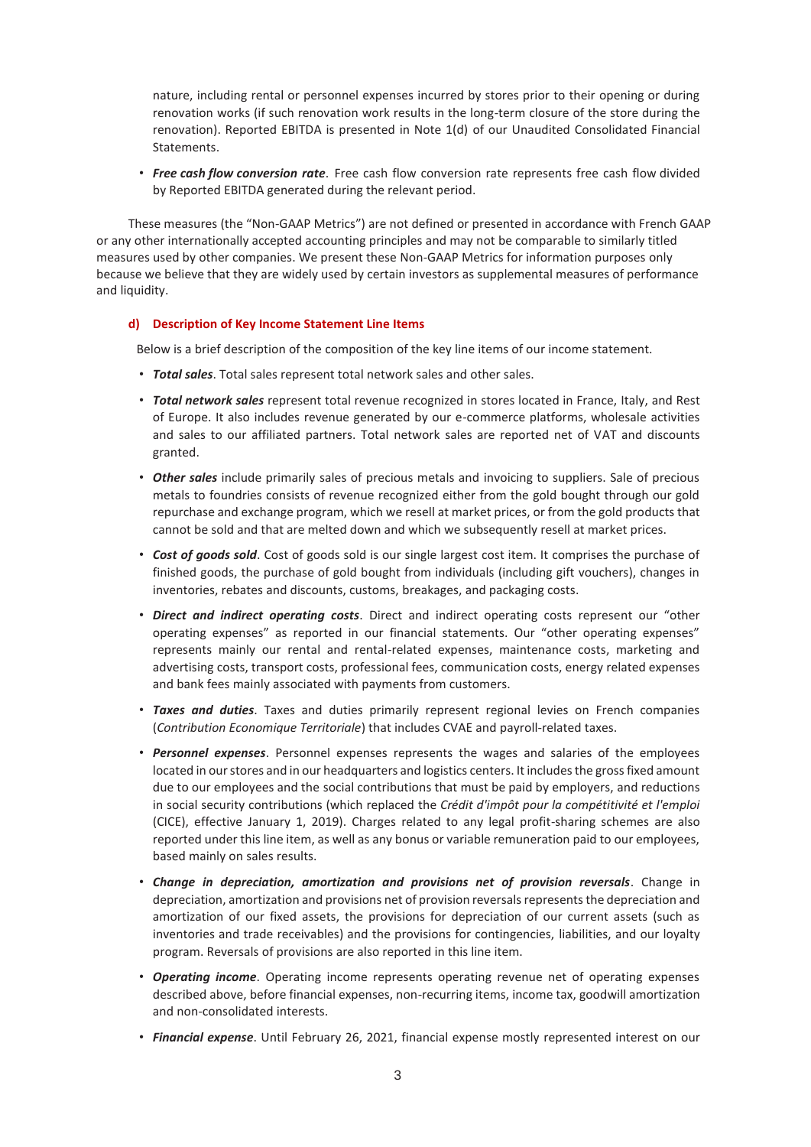nature, including rental or personnel expenses incurred by stores prior to their opening or during renovation works (if such renovation work results in the long-term closure of the store during the renovation). Reported EBITDA is presented in Note 1(d) of our Unaudited Consolidated Financial Statements.

• *Free cash flow conversion rate*. Free cash flow conversion rate represents free cash flow divided by Reported EBITDA generated during the relevant period.

These measures (the "Non-GAAP Metrics") are not defined or presented in accordance with French GAAP or any other internationally accepted accounting principles and may not be comparable to similarly titled measures used by other companies. We present these Non-GAAP Metrics for information purposes only because we believe that they are widely used by certain investors as supplemental measures of performance and liquidity.

#### **d) Description of Key Income Statement Line Items**

Below is a brief description of the composition of the key line items of our income statement.

- *Total sales*. Total sales represent total network sales and other sales.
- *Total network sales* represent total revenue recognized in stores located in France, Italy, and Rest of Europe. It also includes revenue generated by our e-commerce platforms, wholesale activities and sales to our affiliated partners. Total network sales are reported net of VAT and discounts granted.
- *Other sales* include primarily sales of precious metals and invoicing to suppliers. Sale of precious metals to foundries consists of revenue recognized either from the gold bought through our gold repurchase and exchange program, which we resell at market prices, or from the gold products that cannot be sold and that are melted down and which we subsequently resell at market prices.
- *Cost of goods sold*. Cost of goods sold is our single largest cost item. It comprises the purchase of finished goods, the purchase of gold bought from individuals (including gift vouchers), changes in inventories, rebates and discounts, customs, breakages, and packaging costs.
- *Direct and indirect operating costs*. Direct and indirect operating costs represent our "other operating expenses" as reported in our financial statements. Our "other operating expenses" represents mainly our rental and rental-related expenses, maintenance costs, marketing and advertising costs, transport costs, professional fees, communication costs, energy related expenses and bank fees mainly associated with payments from customers.
- *Taxes and duties*. Taxes and duties primarily represent regional levies on French companies (*Contribution Economique Territoriale*) that includes CVAE and payroll-related taxes.
- *Personnel expenses*. Personnel expenses represents the wages and salaries of the employees located in our stores and in our headquarters and logistics centers. It includes the gross fixed amount due to our employees and the social contributions that must be paid by employers, and reductions in social security contributions (which replaced the *Crédit d'impôt pour la compétitivité et l'emploi* (CICE), effective January 1, 2019). Charges related to any legal profit-sharing schemes are also reported under this line item, as well as any bonus or variable remuneration paid to our employees, based mainly on sales results.
- *Change in depreciation, amortization and provisions net of provision reversals*. Change in depreciation, amortization and provisions net of provision reversals represents the depreciation and amortization of our fixed assets, the provisions for depreciation of our current assets (such as inventories and trade receivables) and the provisions for contingencies, liabilities, and our loyalty program. Reversals of provisions are also reported in this line item.
- *Operating income*. Operating income represents operating revenue net of operating expenses described above, before financial expenses, non-recurring items, income tax, goodwill amortization and non-consolidated interests.
- *Financial expense*. Until February 26, 2021, financial expense mostly represented interest on our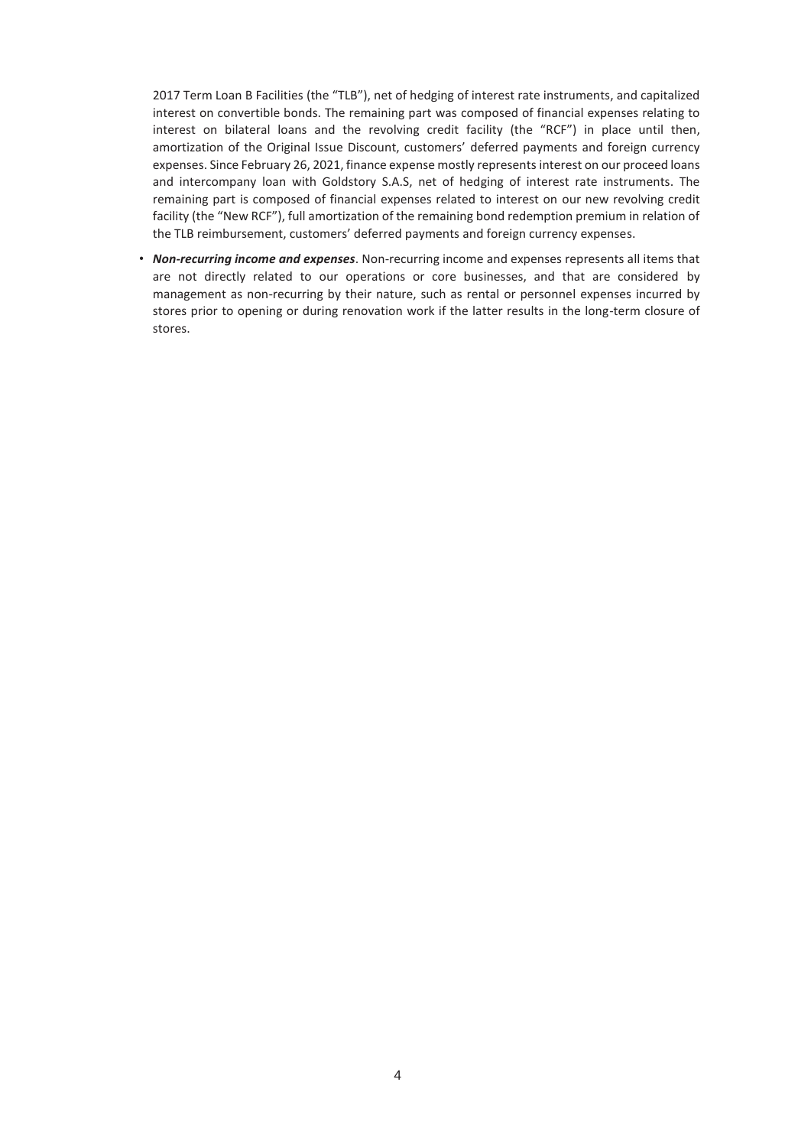2017 Term Loan B Facilities (the "TLB"), net of hedging of interest rate instruments, and capitalized interest on convertible bonds. The remaining part was composed of financial expenses relating to interest on bilateral loans and the revolving credit facility (the "RCF") in place until then, amortization of the Original Issue Discount, customers' deferred payments and foreign currency expenses. Since February 26, 2021, finance expense mostly represents interest on our proceed loans and intercompany loan with Goldstory S.A.S, net of hedging of interest rate instruments. The remaining part is composed of financial expenses related to interest on our new revolving credit facility (the "New RCF"), full amortization of the remaining bond redemption premium in relation of the TLB reimbursement, customers' deferred payments and foreign currency expenses.

• *Non-recurring income and expenses*. Non-recurring income and expenses represents all items that are not directly related to our operations or core businesses, and that are considered by management as non-recurring by their nature, such as rental or personnel expenses incurred by stores prior to opening or during renovation work if the latter results in the long-term closure of stores.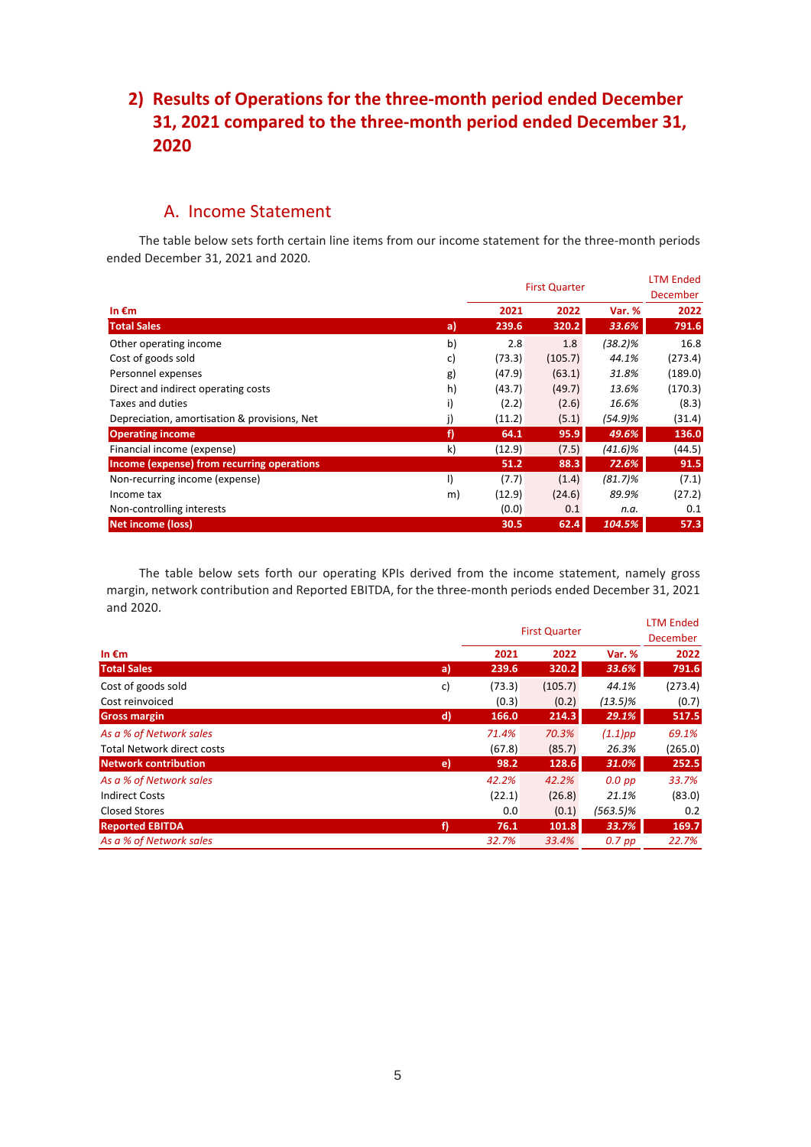# **2) Results of Operations for the three-month period ended December 31, 2021 compared to the three-month period ended December 31, 2020**

# A. Income Statement

The table below sets forth certain line items from our income statement for the three-month periods ended December 31, 2021 and 2020.

|                                              |    | <b>First Quarter</b> |         |            | <b>LTM Ended</b><br><b>December</b> |
|----------------------------------------------|----|----------------------|---------|------------|-------------------------------------|
| In $\epsilon$ m                              |    | 2021                 | 2022    | Var. %     | 2022                                |
| <b>Total Sales</b>                           | a) | 239.6                | 320.2   | 33.6%      | 791.6                               |
| Other operating income                       | b) | 2.8                  | 1.8     | (38.2)%    | 16.8                                |
| Cost of goods sold                           | c) | (73.3)               | (105.7) | 44.1%      | (273.4)                             |
| Personnel expenses                           | g) | (47.9)               | (63.1)  | 31.8%      | (189.0)                             |
| Direct and indirect operating costs          | h) | (43.7)               | (49.7)  | 13.6%      | (170.3)                             |
| Taxes and duties                             | i) | (2.2)                | (2.6)   | 16.6%      | (8.3)                               |
| Depreciation, amortisation & provisions, Net | j) | (11.2)               | (5.1)   | (54.9)%    | (31.4)                              |
| <b>Operating income</b>                      | f) | 64.1                 | 95.9    | 49.6%      | 136.0                               |
| Financial income (expense)                   | k) | (12.9)               | (7.5)   | $(41.6)\%$ | (44.5)                              |
| Income (expense) from recurring operations   |    | 51.2                 | 88.3    | 72.6%      | 91.5                                |
| Non-recurring income (expense)               | I) | (7.7)                | (1.4)   | $(81.7)\%$ | (7.1)                               |
| Income tax                                   | m) | (12.9)               | (24.6)  | 89.9%      | (27.2)                              |
| Non-controlling interests                    |    | (0.0)                | 0.1     | n.a.       | 0.1                                 |
| <b>Net income (loss)</b>                     |    | 30.5                 | 62.4    | 104.5%     | 57.3                                |

The table below sets forth our operating KPIs derived from the income statement, namely gross margin, network contribution and Reported EBITDA, for the three-month periods ended December 31, 2021 and 2020. LTM Ended

|                                   |              | <b>First Quarter</b> |         |             | LIM Ended<br><b>December</b> |  |
|-----------------------------------|--------------|----------------------|---------|-------------|------------------------------|--|
| In $\epsilon$ m                   |              | 2021                 | 2022    | Var. %      | 2022                         |  |
| <b>Total Sales</b>                | a)           | 239.6                | 320.2   | 33.6%       | 791.6                        |  |
| Cost of goods sold                | c)           | (73.3)               | (105.7) | 44.1%       | (273.4)                      |  |
| Cost reinvoiced                   |              | (0.3)                | (0.2)   | $(13.5)\%$  | (0.7)                        |  |
| <b>Gross margin</b>               | $\mathsf{d}$ | 166.0                | 214.3   | 29.1%       | 517.5                        |  |
| As a % of Network sales           |              | 71.4%                | 70.3%   | $(1.1)$ pp  | 69.1%                        |  |
| <b>Total Network direct costs</b> |              | (67.8)               | (85.7)  | 26.3%       | (265.0)                      |  |
| <b>Network contribution</b>       | $\epsilon$   | 98.2                 | 128.6   | 31.0%       | 252.5                        |  |
| As a % of Network sales           |              | 42.2%                | 42.2%   | $0.0$ pp    | 33.7%                        |  |
| <b>Indirect Costs</b>             |              | (22.1)               | (26.8)  | 21.1%       | (83.0)                       |  |
| <b>Closed Stores</b>              |              | 0.0                  | (0.1)   | $(563.5)\%$ | 0.2                          |  |
| <b>Reported EBITDA</b>            | f)           | 76.1                 | 101.8   | 33.7%       | 169.7                        |  |
| As a % of Network sales           |              | 32.7%                | 33.4%   | $0.7$ pp    | 22.7%                        |  |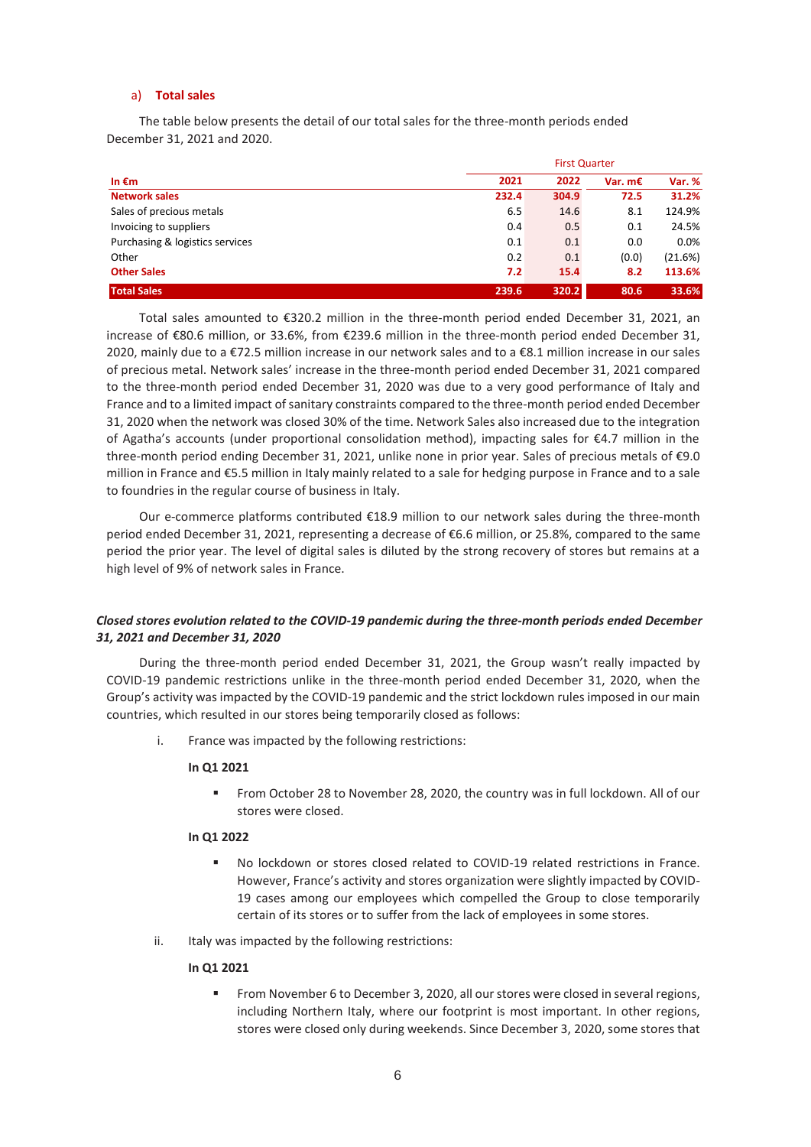### a) **Total sales**

The table below presents the detail of our total sales for the three-month periods ended December 31, 2021 and 2020.

|                                 | <b>First Quarter</b> |       |         |         |
|---------------------------------|----------------------|-------|---------|---------|
| In $\epsilon$ m                 | 2021                 | 2022  | Var. m€ | Var. %  |
| <b>Network sales</b>            | 232.4                | 304.9 | 72.5    | 31.2%   |
| Sales of precious metals        | 6.5                  | 14.6  | 8.1     | 124.9%  |
| Invoicing to suppliers          | 0.4                  | 0.5   | 0.1     | 24.5%   |
| Purchasing & logistics services | 0.1                  | 0.1   | 0.0     | 0.0%    |
| Other                           | 0.2                  | 0.1   | (0.0)   | (21.6%) |
| <b>Other Sales</b>              | 7.2                  | 15.4  | 8.2     | 113.6%  |
| <b>Total Sales</b>              | 239.6                | 320.2 | 80.6    | 33.6%   |

Total sales amounted to €320.2 million in the three-month period ended December 31, 2021, an increase of €80.6 million, or 33.6%, from €239.6 million in the three-month period ended December 31, 2020, mainly due to a €72.5 million increase in our network sales and to a €8.1 million increase in our sales of precious metal. Network sales' increase in the three-month period ended December 31, 2021 compared to the three-month period ended December 31, 2020 was due to a very good performance of Italy and France and to a limited impact of sanitary constraints compared to the three-month period ended December 31, 2020 when the network was closed 30% of the time. Network Sales also increased due to the integration of Agatha's accounts (under proportional consolidation method), impacting sales for €4.7 million in the three-month period ending December 31, 2021, unlike none in prior year. Sales of precious metals of €9.0 million in France and €5.5 million in Italy mainly related to a sale for hedging purpose in France and to a sale to foundries in the regular course of business in Italy.

Our e-commerce platforms contributed €18.9 million to our network sales during the three-month period ended December 31, 2021, representing a decrease of €6.6 million, or 25.8%, compared to the same period the prior year. The level of digital sales is diluted by the strong recovery of stores but remains at a high level of 9% of network sales in France.

## *Closed stores evolution related to the COVID-19 pandemic during the three-month periods ended December 31, 2021 and December 31, 2020*

During the three-month period ended December 31, 2021, the Group wasn't really impacted by COVID-19 pandemic restrictions unlike in the three-month period ended December 31, 2020, when the Group's activity was impacted by the COVID-19 pandemic and the strict lockdown rules imposed in our main countries, which resulted in our stores being temporarily closed as follows:

i. France was impacted by the following restrictions:

#### **In Q1 2021**

■ From October 28 to November 28, 2020, the country was in full lockdown. All of our stores were closed.

#### **In Q1 2022**

- No lockdown or stores closed related to COVID-19 related restrictions in France. However, France's activity and stores organization were slightly impacted by COVID-19 cases among our employees which compelled the Group to close temporarily certain of its stores or to suffer from the lack of employees in some stores.
- ii. Italy was impacted by the following restrictions:

#### **In Q1 2021**

▪ From November 6 to December 3, 2020, all our stores were closed in several regions, including Northern Italy, where our footprint is most important. In other regions, stores were closed only during weekends. Since December 3, 2020, some stores that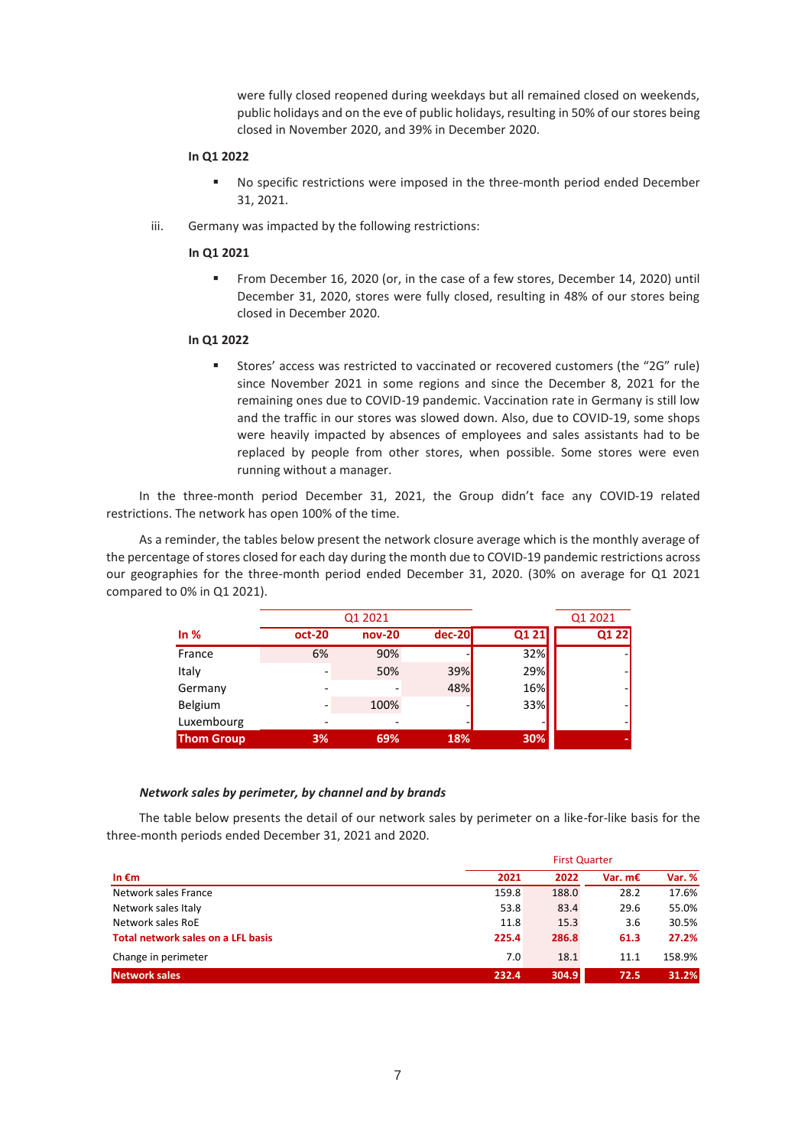were fully closed reopened during weekdays but all remained closed on weekends, public holidays and on the eve of public holidays, resulting in 50% of our stores being closed in November 2020, and 39% in December 2020.

#### **In Q1 2022**

- No specific restrictions were imposed in the three-month period ended December 31, 2021.
- iii. Germany was impacted by the following restrictions:

#### **In Q1 2021**

▪ From December 16, 2020 (or, in the case of a few stores, December 14, 2020) until December 31, 2020, stores were fully closed, resulting in 48% of our stores being closed in December 2020.

#### **In Q1 2022**

▪ Stores' access was restricted to vaccinated or recovered customers (the "2G" rule) since November 2021 in some regions and since the December 8, 2021 for the remaining ones due to COVID-19 pandemic. Vaccination rate in Germany is still low and the traffic in our stores was slowed down. Also, due to COVID-19, some shops were heavily impacted by absences of employees and sales assistants had to be replaced by people from other stores, when possible. Some stores were even running without a manager.

In the three-month period December 31, 2021, the Group didn't face any COVID-19 related restrictions. The network has open 100% of the time.

As a reminder, the tables below present the network closure average which is the monthly average of the percentage of stores closed for each day during the month due to COVID-19 pandemic restrictions across our geographies for the three-month period ended December 31, 2020. (30% on average for Q1 2021 compared to 0% in Q1 2021).

|                   |        | Q1 2021  |          |       | Q1 2021 |
|-------------------|--------|----------|----------|-------|---------|
| In $%$            | oct-20 | $nov-20$ | $dec-20$ | Q1 21 | Q1 22   |
| France            | 6%     | 90%      |          | 32%   |         |
| Italy             |        | 50%      | 39%      | 29%   |         |
| Germany           |        |          | 48%      | 16%   |         |
| Belgium           |        | 100%     |          | 33%   |         |
| Luxembourg        |        |          | -        |       |         |
| <b>Thom Group</b> | 3%     | 69%      | 18%      | 30%   |         |

#### *Network sales by perimeter, by channel and by brands*

The table below presents the detail of our network sales by perimeter on a like-for-like basis for the three-month periods ended December 31, 2021 and 2020.

|                                    | <b>First Quarter</b> |       |           |        |
|------------------------------------|----------------------|-------|-----------|--------|
| In €m                              | 2021                 | 2022  | Var. $mE$ | Var. % |
| Network sales France               | 159.8                | 188.0 | 28.2      | 17.6%  |
| Network sales Italy                | 53.8                 | 83.4  | 29.6      | 55.0%  |
| Network sales RoE                  | 11.8                 | 15.3  | 3.6       | 30.5%  |
| Total network sales on a LFL basis | 225.4                | 286.8 | 61.3      | 27.2%  |
| Change in perimeter                | 7.0                  | 18.1  | 11.1      | 158.9% |
| <b>Network sales</b>               | 232.4                | 304.9 | 72.5      | 31.2%  |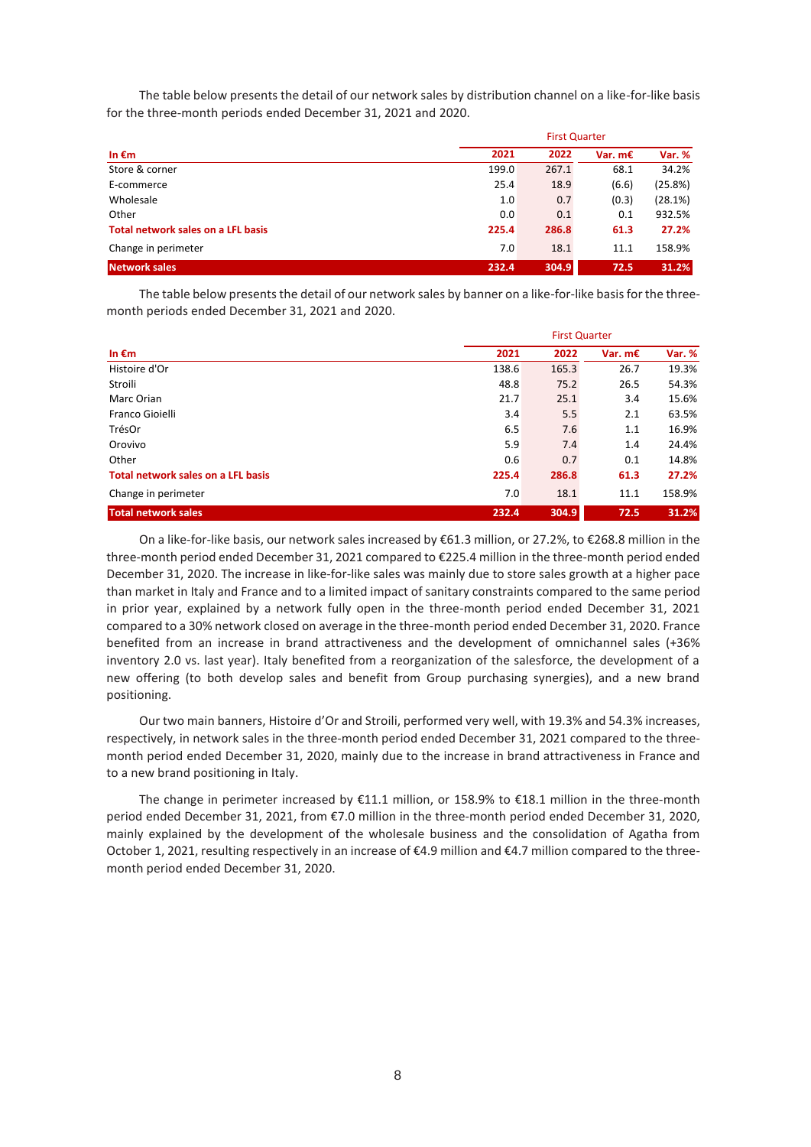The table below presents the detail of our network sales by distribution channel on a like-for-like basis for the three-month periods ended December 31, 2021 and 2020.

|                                    |       | <b>First Quarter</b> |           |         |  |
|------------------------------------|-------|----------------------|-----------|---------|--|
| In $\epsilon$ m                    | 2021  | 2022                 | Var. $mE$ | Var. %  |  |
| Store & corner                     | 199.0 | 267.1                | 68.1      | 34.2%   |  |
| E-commerce                         | 25.4  | 18.9                 | (6.6)     | (25.8%) |  |
| Wholesale                          | 1.0   | 0.7                  | (0.3)     | (28.1%) |  |
| Other                              | 0.0   | 0.1                  | 0.1       | 932.5%  |  |
| Total network sales on a LFL basis | 225.4 | 286.8                | 61.3      | 27.2%   |  |
| Change in perimeter                | 7.0   | 18.1                 | 11.1      | 158.9%  |  |
| <b>Network sales</b>               | 232.4 | 304.9                | 72.5      | 31.2%   |  |

The table below presents the detail of our network sales by banner on a like-for-like basis for the threemonth periods ended December 31, 2021 and 2020.

|                                    |       | <b>First Quarter</b> |           |               |  |
|------------------------------------|-------|----------------------|-----------|---------------|--|
| In $\epsilon$ m                    | 2021  | 2022                 | Var. $mE$ | <b>Var. %</b> |  |
| Histoire d'Or                      | 138.6 | 165.3                | 26.7      | 19.3%         |  |
| Stroili                            | 48.8  | 75.2                 | 26.5      | 54.3%         |  |
| Marc Orian                         | 21.7  | 25.1                 | 3.4       | 15.6%         |  |
| Franco Gioielli                    | 3.4   | 5.5                  | 2.1       | 63.5%         |  |
| TrésOr                             | 6.5   | 7.6                  | 1.1       | 16.9%         |  |
| Orovivo                            | 5.9   | 7.4                  | 1.4       | 24.4%         |  |
| Other                              | 0.6   | 0.7                  | 0.1       | 14.8%         |  |
| Total network sales on a LFL basis | 225.4 | 286.8                | 61.3      | 27.2%         |  |
| Change in perimeter                | 7.0   | 18.1                 | 11.1      | 158.9%        |  |
| Total network sales                | 232.4 | 304.9                | 72.5      | 31.2%         |  |

On a like-for-like basis, our network sales increased by €61.3 million, or 27.2%, to €268.8 million in the three-month period ended December 31, 2021 compared to €225.4 million in the three-month period ended December 31, 2020. The increase in like-for-like sales was mainly due to store sales growth at a higher pace than market in Italy and France and to a limited impact of sanitary constraints compared to the same period in prior year, explained by a network fully open in the three-month period ended December 31, 2021 compared to a 30% network closed on average in the three-month period ended December 31, 2020. France benefited from an increase in brand attractiveness and the development of omnichannel sales (+36% inventory 2.0 vs. last year). Italy benefited from a reorganization of the salesforce, the development of a new offering (to both develop sales and benefit from Group purchasing synergies), and a new brand positioning.

Our two main banners, Histoire d'Or and Stroili, performed very well, with 19.3% and 54.3% increases, respectively, in network sales in the three-month period ended December 31, 2021 compared to the threemonth period ended December 31, 2020, mainly due to the increase in brand attractiveness in France and to a new brand positioning in Italy.

The change in perimeter increased by €11.1 million, or 158.9% to €18.1 million in the three-month period ended December 31, 2021, from €7.0 million in the three-month period ended December 31, 2020, mainly explained by the development of the wholesale business and the consolidation of Agatha from October 1, 2021, resulting respectively in an increase of €4.9 million and €4.7 million compared to the threemonth period ended December 31, 2020.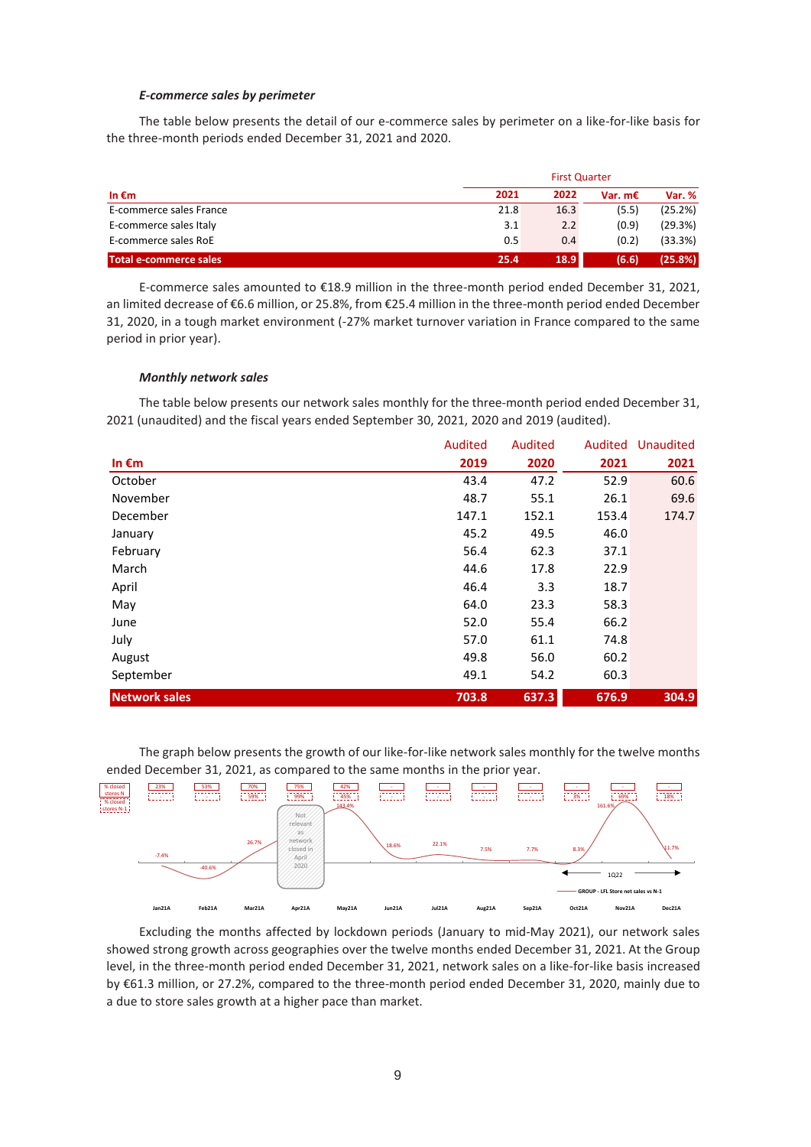#### *E-commerce sales by perimeter*

The table below presents the detail of our e-commerce sales by perimeter on a like-for-like basis for the three-month periods ended December 31, 2021 and 2020.

| In $\epsilon$ m         | <b>First Quarter</b> |      |           |         |
|-------------------------|----------------------|------|-----------|---------|
|                         | 2021                 | 2022 | Var. $mE$ | Var. %  |
| E-commerce sales France | 21.8                 | 16.3 | (5.5)     | (25.2%) |
| E-commerce sales Italy  | 3.1                  | 2.2  | (0.9)     | (29.3%) |
| E-commerce sales RoE    | 0.5                  | 0.4  | (0.2)     | (33.3%) |
| Total e-commerce sales  | 25.4                 | 18.9 | (6.6)     | (25.8%) |

E-commerce sales amounted to €18.9 million in the three-month period ended December 31, 2021, an limited decrease of €6.6 million, or 25.8%, from €25.4 million in the three-month period ended December 31, 2020, in a tough market environment (-27% market turnover variation in France compared to the same period in prior year).

#### *Monthly network sales*

The table below presents our network sales monthly for the three-month period ended December 31, 2021 (unaudited) and the fiscal years ended September 30, 2021, 2020 and 2019 (audited).

|                      | Audited | Audited | Audited | Unaudited |
|----------------------|---------|---------|---------|-----------|
| In $\epsilon$ m      | 2019    | 2020    | 2021    | 2021      |
| October              | 43.4    | 47.2    | 52.9    | 60.6      |
| November             | 48.7    | 55.1    | 26.1    | 69.6      |
| December             | 147.1   | 152.1   | 153.4   | 174.7     |
| January              | 45.2    | 49.5    | 46.0    |           |
| February             | 56.4    | 62.3    | 37.1    |           |
| March                | 44.6    | 17.8    | 22.9    |           |
| April                | 46.4    | 3.3     | 18.7    |           |
| May                  | 64.0    | 23.3    | 58.3    |           |
| June                 | 52.0    | 55.4    | 66.2    |           |
| July                 | 57.0    | 61.1    | 74.8    |           |
| August               | 49.8    | 56.0    | 60.2    |           |
| September            | 49.1    | 54.2    | 60.3    |           |
| <b>Network sales</b> | 703.8   | 637.3   | 676.9   | 304.9     |

The graph below presents the growth of our like-for-like network sales monthly for the twelve months ended December 31, 2021, as compared to the same months in the prior year.



Excluding the months affected by lockdown periods (January to mid-May 2021), our network sales showed strong growth across geographies over the twelve months ended December 31, 2021. At the Group level, in the three-month period ended December 31, 2021, network sales on a like-for-like basis increased by €61.3 million, or 27.2%, compared to the three-month period ended December 31, 2020, mainly due to a due to store sales growth at a higher pace than market.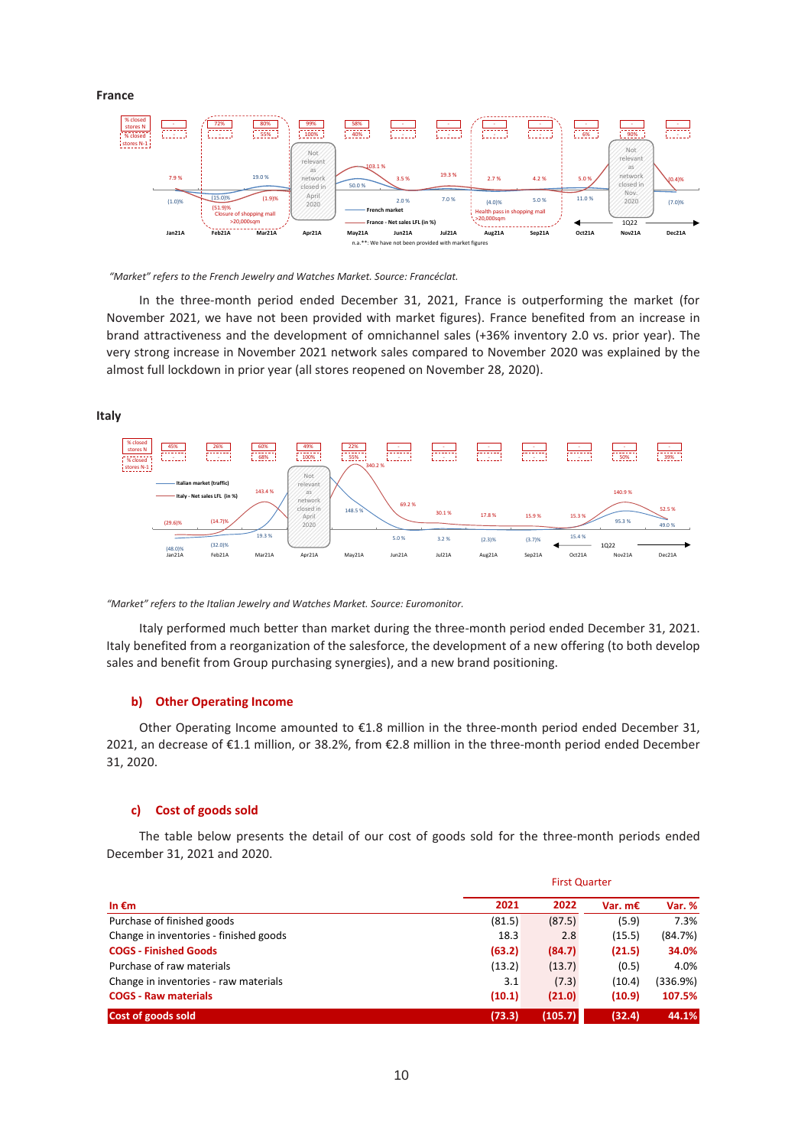**France** 



*"Market" refers to the French Jewelry and Watches Market. Source: Francéclat.* 

In the three-month period ended December 31, 2021, France is outperforming the market (for November 2021, we have not been provided with market figures). France benefited from an increase in brand attractiveness and the development of omnichannel sales (+36% inventory 2.0 vs. prior year). The very strong increase in November 2021 network sales compared to November 2020 was explained by the almost full lockdown in prior year (all stores reopened on November 28, 2020).

**Italy**





Italy performed much better than market during the three-month period ended December 31, 2021. Italy benefited from a reorganization of the salesforce, the development of a new offering (to both develop sales and benefit from Group purchasing synergies), and a new brand positioning.

#### **b) Other Operating Income**

Other Operating Income amounted to €1.8 million in the three-month period ended December 31, 2021, an decrease of €1.1 million, or 38.2%, from €2.8 million in the three-month period ended December 31, 2020.

### **c) Cost of goods sold**

The table below presents the detail of our cost of goods sold for the three-month periods ended December 31, 2021 and 2020.

| In $\epsilon$ m                        | <b>First Quarter</b> |         |           |          |
|----------------------------------------|----------------------|---------|-----------|----------|
|                                        | 2021                 | 2022    | Var. $mE$ | Var. %   |
| Purchase of finished goods             | (81.5)               | (87.5)  | (5.9)     | 7.3%     |
| Change in inventories - finished goods | 18.3                 | 2.8     | (15.5)    | (84.7%)  |
| <b>COGS - Finished Goods</b>           | (63.2)               | (84.7)  | (21.5)    | 34.0%    |
| Purchase of raw materials              | (13.2)               | (13.7)  | (0.5)     | 4.0%     |
| Change in inventories - raw materials  | 3.1                  | (7.3)   | (10.4)    | (336.9%) |
| <b>COGS - Raw materials</b>            | (10.1)               | (21.0)  | (10.9)    | 107.5%   |
| Cost of goods sold                     | (73.3)               | (105.7) | (32.4)    | 44.1%    |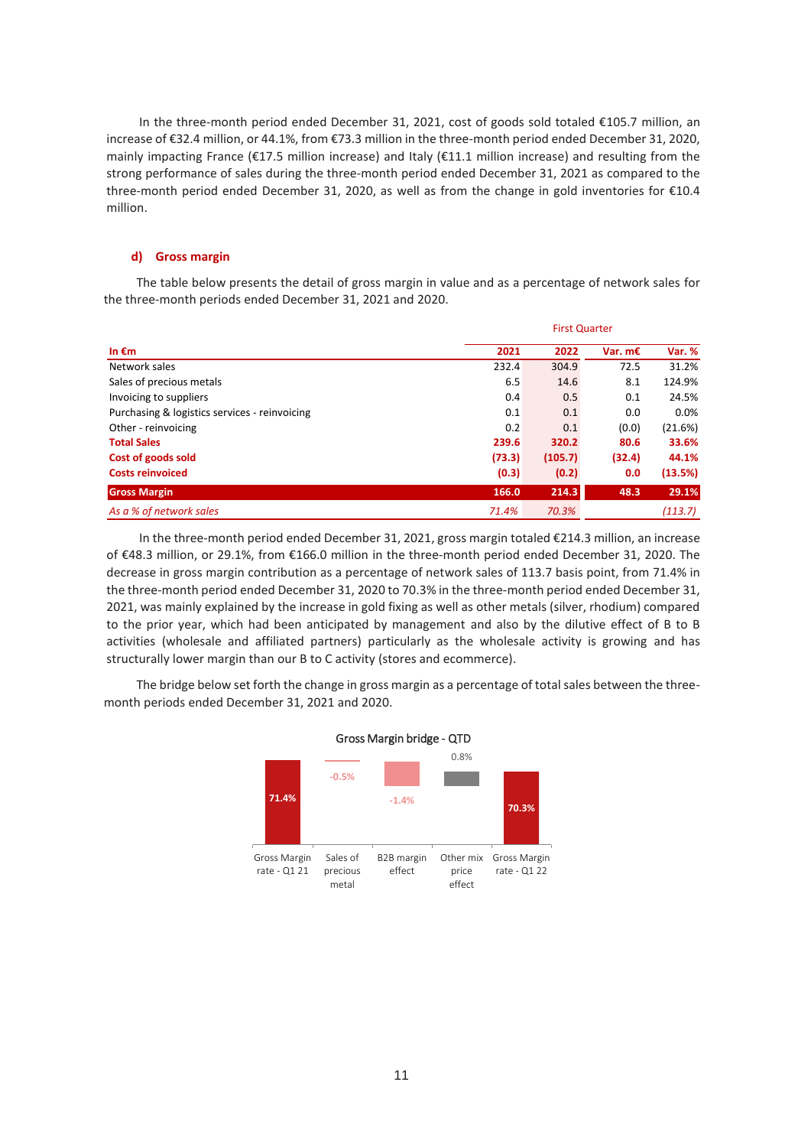In the three-month period ended December 31, 2021, cost of goods sold totaled €105.7 million, an increase of €32.4 million, or 44.1%, from €73.3 million in the three-month period ended December 31, 2020, mainly impacting France ( $\epsilon$ 17.5 million increase) and Italy ( $\epsilon$ 11.1 million increase) and resulting from the strong performance of sales during the three-month period ended December 31, 2021 as compared to the three-month period ended December 31, 2020, as well as from the change in gold inventories for €10.4 million.

#### **d) Gross margin**

The table below presents the detail of gross margin in value and as a percentage of network sales for the three-month periods ended December 31, 2021 and 2020.

| In $\epsilon$ m                               | <b>First Quarter</b> |         |                  |         |
|-----------------------------------------------|----------------------|---------|------------------|---------|
|                                               | 2021                 | 2022    | Var. $m\epsilon$ | Var. %  |
| Network sales                                 | 232.4                | 304.9   | 72.5             | 31.2%   |
| Sales of precious metals                      | 6.5                  | 14.6    | 8.1              | 124.9%  |
| Invoicing to suppliers                        | 0.4                  | 0.5     | 0.1              | 24.5%   |
| Purchasing & logistics services - reinvoicing | 0.1                  | 0.1     | 0.0              | 0.0%    |
| Other - reinvoicing                           | 0.2                  | 0.1     | (0.0)            | (21.6%) |
| <b>Total Sales</b>                            | 239.6                | 320.2   | 80.6             | 33.6%   |
| Cost of goods sold                            | (73.3)               | (105.7) | (32.4)           | 44.1%   |
| <b>Costs reinvoiced</b>                       | (0.3)                | (0.2)   | 0.0              | (13.5%) |
| <b>Gross Margin</b>                           | 166.0                | 214.3   | 48.3             | 29.1%   |
| As a % of network sales                       | 71.4%                | 70.3%   |                  | (113.7) |

In the three-month period ended December 31, 2021, gross margin totaled €214.3 million, an increase of €48.3 million, or 29.1%, from €166.0 million in the three-month period ended December 31, 2020. The decrease in gross margin contribution as a percentage of network sales of 113.7 basis point, from 71.4% in the three-month period ended December 31, 2020 to 70.3% in the three-month period ended December 31, 2021, was mainly explained by the increase in gold fixing as well as other metals (silver, rhodium) compared to the prior year, which had been anticipated by management and also by the dilutive effect of B to B activities (wholesale and affiliated partners) particularly as the wholesale activity is growing and has structurally lower margin than our B to C activity (stores and ecommerce).

The bridge below set forth the change in gross margin as a percentage of total sales between the threemonth periods ended December 31, 2021 and 2020.

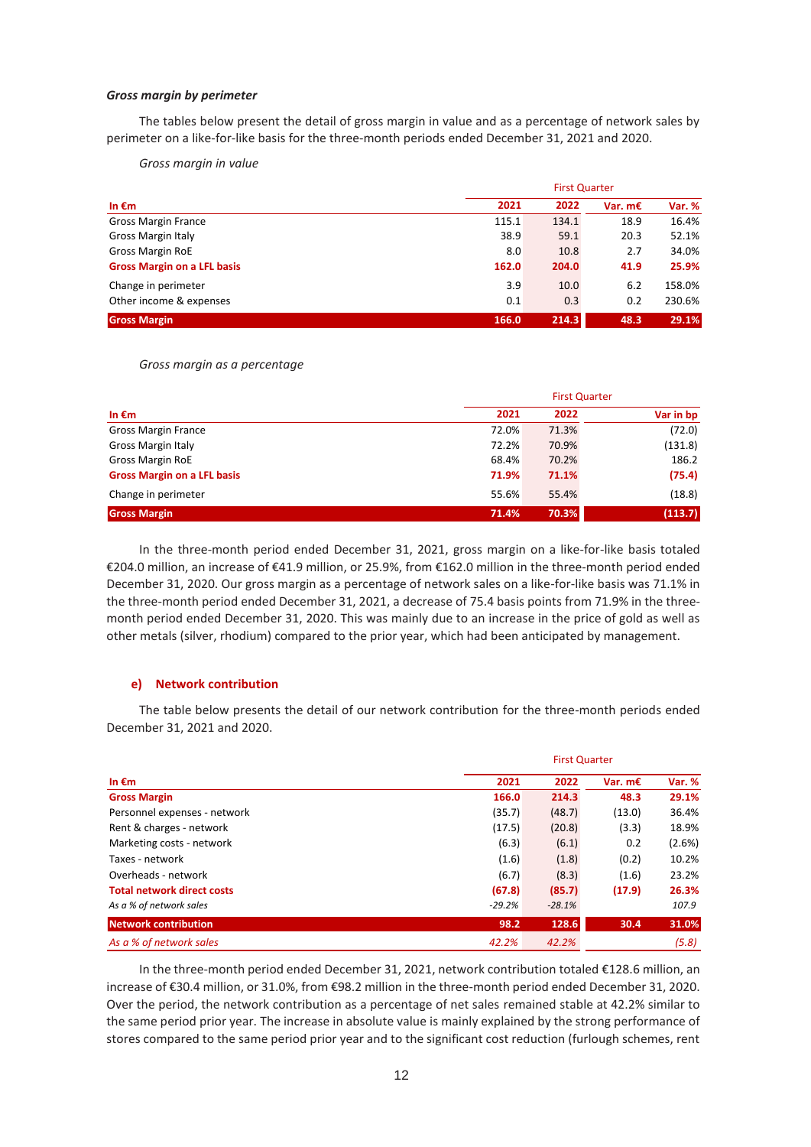#### *Gross margin by perimeter*

The tables below present the detail of gross margin in value and as a percentage of network sales by perimeter on a like-for-like basis for the three-month periods ended December 31, 2021 and 2020.

*Gross margin in value*

|                                    |       | <b>First Quarter</b> |           |        |  |
|------------------------------------|-------|----------------------|-----------|--------|--|
| In $\epsilon$ m                    | 2021  | 2022                 | Var. $mE$ | Var. % |  |
| <b>Gross Margin France</b>         | 115.1 | 134.1                | 18.9      | 16.4%  |  |
| <b>Gross Margin Italy</b>          | 38.9  | 59.1                 | 20.3      | 52.1%  |  |
| <b>Gross Margin RoE</b>            | 8.0   | 10.8                 | 2.7       | 34.0%  |  |
| <b>Gross Margin on a LFL basis</b> | 162.0 | 204.0                | 41.9      | 25.9%  |  |
| Change in perimeter                | 3.9   | 10.0                 | 6.2       | 158.0% |  |
| Other income & expenses            | 0.1   | 0.3                  | 0.2       | 230.6% |  |
| <b>Gross Margin</b>                | 166.0 | 214.3                | 48.3      | 29.1%  |  |

#### *Gross margin as a percentage*

| In $\epsilon$ m                    |       |       | <b>First Quarter</b> |
|------------------------------------|-------|-------|----------------------|
|                                    | 2021  | 2022  | Var in bp            |
| <b>Gross Margin France</b>         | 72.0% | 71.3% | (72.0)               |
| <b>Gross Margin Italy</b>          | 72.2% | 70.9% | (131.8)              |
| <b>Gross Margin RoE</b>            | 68.4% | 70.2% | 186.2                |
| <b>Gross Margin on a LFL basis</b> | 71.9% | 71.1% | (75.4)               |
| Change in perimeter                | 55.6% | 55.4% | (18.8)               |
| <b>Gross Margin</b>                | 71.4% | 70.3% | (113.7)              |

In the three-month period ended December 31, 2021, gross margin on a like-for-like basis totaled €204.0 million, an increase of €41.9 million, or 25.9%, from €162.0 million in the three-month period ended December 31, 2020. Our gross margin as a percentage of network sales on a like-for-like basis was 71.1% in the three-month period ended December 31, 2021, a decrease of 75.4 basis points from 71.9% in the threemonth period ended December 31, 2020. This was mainly due to an increase in the price of gold as well as other metals (silver, rhodium) compared to the prior year, which had been anticipated by management.

#### **e) Network contribution**

The table below presents the detail of our network contribution for the three-month periods ended December 31, 2021 and 2020.

|                                   |          | <b>First Quarter</b> |           |        |  |  |
|-----------------------------------|----------|----------------------|-----------|--------|--|--|
| In $\epsilon$ m                   | 2021     | 2022                 | Var. $mE$ | Var. % |  |  |
| <b>Gross Margin</b>               | 166.0    | 214.3                | 48.3      | 29.1%  |  |  |
| Personnel expenses - network      | (35.7)   | (48.7)               | (13.0)    | 36.4%  |  |  |
| Rent & charges - network          | (17.5)   | (20.8)               | (3.3)     | 18.9%  |  |  |
| Marketing costs - network         | (6.3)    | (6.1)                | 0.2       | (2.6%) |  |  |
| Taxes - network                   | (1.6)    | (1.8)                | (0.2)     | 10.2%  |  |  |
| Overheads - network               | (6.7)    | (8.3)                | (1.6)     | 23.2%  |  |  |
| <b>Total network direct costs</b> | (67.8)   | (85.7)               | (17.9)    | 26.3%  |  |  |
| As a % of network sales           | $-29.2%$ | $-28.1%$             |           | 107.9  |  |  |
| <b>Network contribution</b>       | 98.2     | 128.6                | 30.4      | 31.0%  |  |  |
| As a % of network sales           | 42.2%    | 42.2%                |           | (5.8)  |  |  |

In the three-month period ended December 31, 2021, network contribution totaled €128.6 million, an increase of €30.4 million, or 31.0%, from €98.2 million in the three-month period ended December 31, 2020. Over the period, the network contribution as a percentage of net sales remained stable at 42.2% similar to the same period prior year. The increase in absolute value is mainly explained by the strong performance of stores compared to the same period prior year and to the significant cost reduction (furlough schemes, rent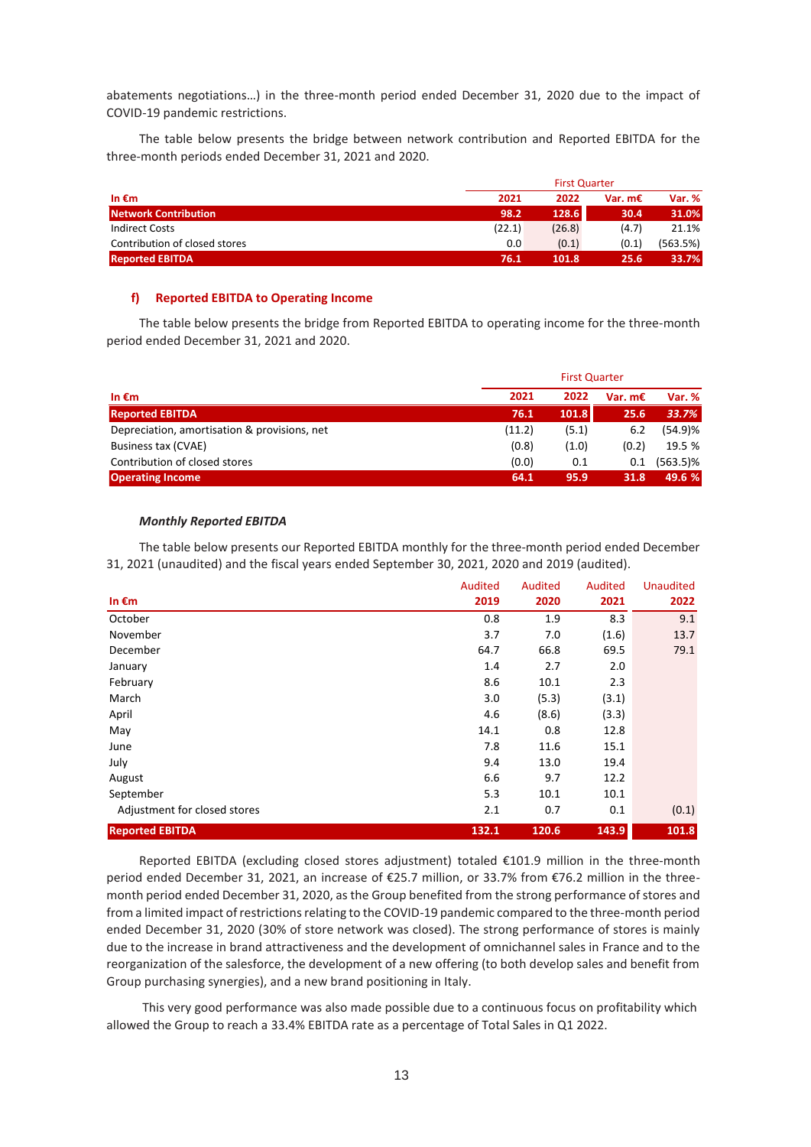abatements negotiations…) in the three-month period ended December 31, 2020 due to the impact of COVID-19 pandemic restrictions.

The table below presents the bridge between network contribution and Reported EBITDA for the three-month periods ended December 31, 2021 and 2020.

|                               |        | <b>First Quarter</b> |         |          |  |
|-------------------------------|--------|----------------------|---------|----------|--|
| In $\epsilon$ m               | 2021   | 2022                 | Var. m€ | Var. %   |  |
| <b>Network Contribution</b>   | 98.2   | 128.6                | 30.4    | 31.0%    |  |
| Indirect Costs                | (22.1) | (26.8)               | (4.7)   | 21.1%    |  |
| Contribution of closed stores | 0.0    | (0.1)                | (0.1)   | (563.5%) |  |
| <b>Reported EBITDA</b>        | 76.1   | 101.8                | 25.6    | 33.7%    |  |

#### **f) Reported EBITDA to Operating Income**

The table below presents the bridge from Reported EBITDA to operating income for the three-month period ended December 31, 2021 and 2020.

|                                              | <b>First Quarter</b> |       |                  |             |  |
|----------------------------------------------|----------------------|-------|------------------|-------------|--|
| In $\epsilon$ m                              | 2021                 | 2022  | Var. $m\epsilon$ | Var. %      |  |
| <b>Reported EBITDA</b>                       | 76.1                 | 101.8 | 25.6             | 33.7%       |  |
| Depreciation, amortisation & provisions, net | (11.2)               | (5.1) | 6.2              | (54.9)%     |  |
| Business tax (CVAE)                          | (0.8)                | (1.0) | (0.2)            | 19.5 %      |  |
| Contribution of closed stores                | (0.0)                | 0.1   | 0.1              | $(563.5)\%$ |  |
| <b>Operating Income</b>                      | 64.1                 | 95.9  | 31.8             | 49.6 %      |  |

### *Monthly Reported EBITDA*

The table below presents our Reported EBITDA monthly for the three-month period ended December 31, 2021 (unaudited) and the fiscal years ended September 30, 2021, 2020 and 2019 (audited).

|                              | Audited | Audited | Audited | <b>Unaudited</b> |
|------------------------------|---------|---------|---------|------------------|
| In $\epsilon$ m              | 2019    | 2020    | 2021    | 2022             |
| October                      | 0.8     | 1.9     | 8.3     | 9.1              |
| November                     | 3.7     | 7.0     | (1.6)   | 13.7             |
| December                     | 64.7    | 66.8    | 69.5    | 79.1             |
| January                      | 1.4     | 2.7     | 2.0     |                  |
| February                     | 8.6     | 10.1    | 2.3     |                  |
| March                        | 3.0     | (5.3)   | (3.1)   |                  |
| April                        | 4.6     | (8.6)   | (3.3)   |                  |
| May                          | 14.1    | 0.8     | 12.8    |                  |
| June                         | 7.8     | 11.6    | 15.1    |                  |
| July                         | 9.4     | 13.0    | 19.4    |                  |
| August                       | 6.6     | 9.7     | 12.2    |                  |
| September                    | 5.3     | 10.1    | 10.1    |                  |
| Adjustment for closed stores | 2.1     | 0.7     | 0.1     | (0.1)            |
| <b>Reported EBITDA</b>       | 132.1   | 120.6   | 143.9   | 101.8            |

Reported EBITDA (excluding closed stores adjustment) totaled €101.9 million in the three-month period ended December 31, 2021, an increase of €25.7 million, or 33.7% from €76.2 million in the threemonth period ended December 31, 2020, as the Group benefited from the strong performance of stores and from a limited impact of restrictions relating to the COVID-19 pandemic compared to the three-month period ended December 31, 2020 (30% of store network was closed). The strong performance of stores is mainly due to the increase in brand attractiveness and the development of omnichannel sales in France and to the reorganization of the salesforce, the development of a new offering (to both develop sales and benefit from Group purchasing synergies), and a new brand positioning in Italy.

This very good performance was also made possible due to a continuous focus on profitability which allowed the Group to reach a 33.4% EBITDA rate as a percentage of Total Sales in Q1 2022.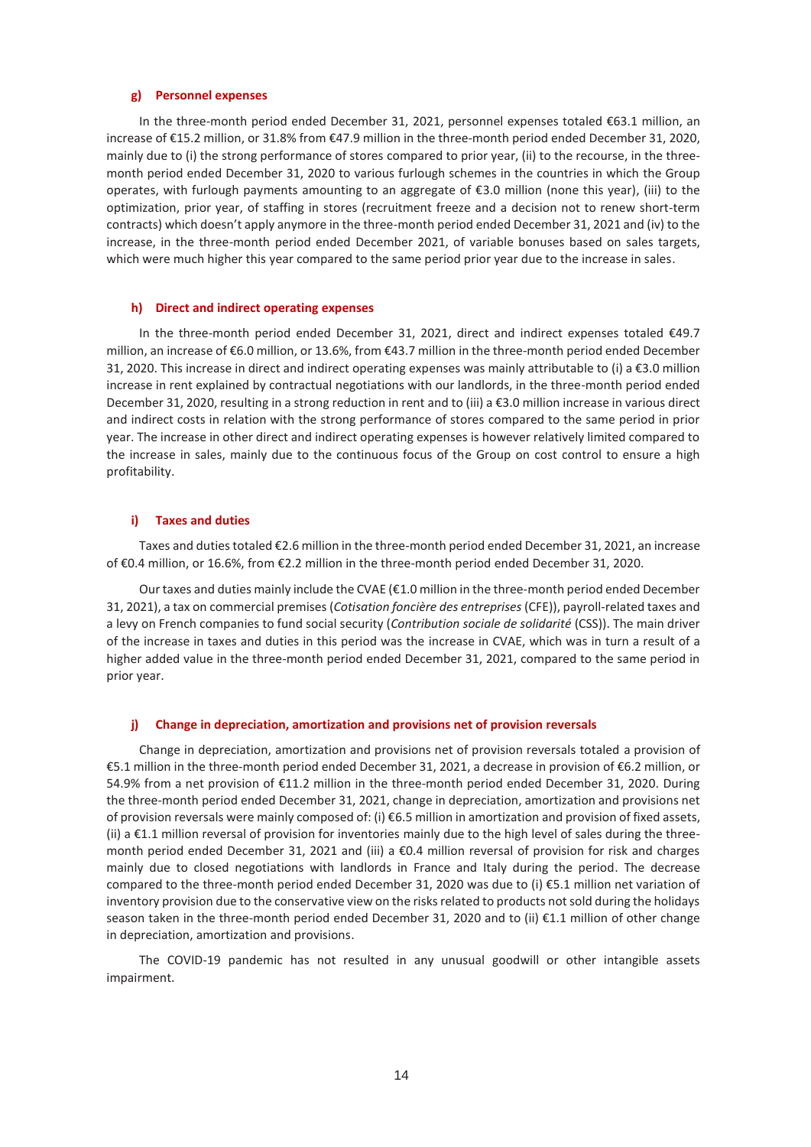#### **g) Personnel expenses**

In the three-month period ended December 31, 2021, personnel expenses totaled €63.1 million, an increase of €15.2 million, or 31.8% from €47.9 million in the three-month period ended December 31, 2020, mainly due to (i) the strong performance of stores compared to prior year, (ii) to the recourse, in the threemonth period ended December 31, 2020 to various furlough schemes in the countries in which the Group operates, with furlough payments amounting to an aggregate of €3.0 million (none this year), (iii) to the optimization, prior year, of staffing in stores (recruitment freeze and a decision not to renew short-term contracts) which doesn't apply anymore in the three-month period ended December 31, 2021 and (iv) to the increase, in the three-month period ended December 2021, of variable bonuses based on sales targets, which were much higher this year compared to the same period prior year due to the increase in sales.

#### **h) Direct and indirect operating expenses**

In the three-month period ended December 31, 2021, direct and indirect expenses totaled €49.7 million, an increase of €6.0 million, or 13.6%, from €43.7 million in the three-month period ended December 31, 2020. This increase in direct and indirect operating expenses was mainly attributable to (i) a €3.0 million increase in rent explained by contractual negotiations with our landlords, in the three-month period ended December 31, 2020, resulting in a strong reduction in rent and to (iii) a €3.0 million increase in various direct and indirect costs in relation with the strong performance of stores compared to the same period in prior year. The increase in other direct and indirect operating expenses is however relatively limited compared to the increase in sales, mainly due to the continuous focus of the Group on cost control to ensure a high profitability.

#### **i) Taxes and duties**

Taxes and duties totaled €2.6 million in the three-month period ended December 31, 2021, an increase of €0.4 million, or 16.6%, from €2.2 million in the three-month period ended December 31, 2020.

Our taxes and duties mainly include the CVAE (€1.0 million in the three-month period ended December 31, 2021), a tax on commercial premises (*Cotisation foncière des entreprises* (CFE)), payroll-related taxes and a levy on French companies to fund social security (*Contribution sociale de solidarité* (CSS)). The main driver of the increase in taxes and duties in this period was the increase in CVAE, which was in turn a result of a higher added value in the three-month period ended December 31, 2021, compared to the same period in prior year.

#### **j) Change in depreciation, amortization and provisions net of provision reversals**

Change in depreciation, amortization and provisions net of provision reversals totaled a provision of €5.1 million in the three-month period ended December 31, 2021, a decrease in provision of €6.2 million, or 54.9% from a net provision of €11.2 million in the three-month period ended December 31, 2020. During the three-month period ended December 31, 2021, change in depreciation, amortization and provisions net of provision reversals were mainly composed of: (i) €6.5 million in amortization and provision of fixed assets, (ii) a €1.1 million reversal of provision for inventories mainly due to the high level of sales during the threemonth period ended December 31, 2021 and (iii) a €0.4 million reversal of provision for risk and charges mainly due to closed negotiations with landlords in France and Italy during the period. The decrease compared to the three-month period ended December 31, 2020 was due to (i) €5.1 million net variation of inventory provision due to the conservative view on the risks related to products not sold during the holidays season taken in the three-month period ended December 31, 2020 and to (ii) €1.1 million of other change in depreciation, amortization and provisions.

The COVID-19 pandemic has not resulted in any unusual goodwill or other intangible assets impairment.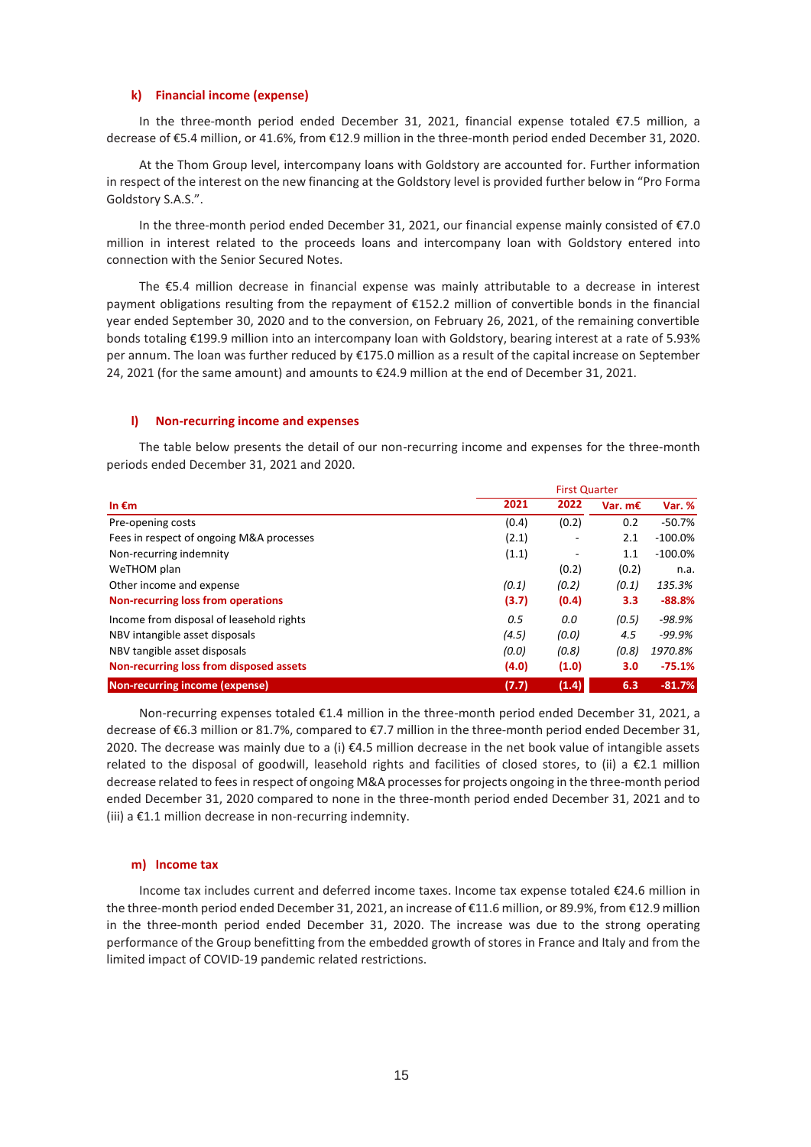#### **k) Financial income (expense)**

In the three-month period ended December 31, 2021, financial expense totaled €7.5 million, a decrease of €5.4 million, or 41.6%, from €12.9 million in the three-month period ended December 31, 2020.

At the Thom Group level, intercompany loans with Goldstory are accounted for. Further information in respect of the interest on the new financing at the Goldstory level is provided further below in "Pro Forma Goldstory S.A.S.".

In the three-month period ended December 31, 2021, our financial expense mainly consisted of €7.0 million in interest related to the proceeds loans and intercompany loan with Goldstory entered into connection with the Senior Secured Notes.

The €5.4 million decrease in financial expense was mainly attributable to a decrease in interest payment obligations resulting from the repayment of €152.2 million of convertible bonds in the financial year ended September 30, 2020 and to the conversion, on February 26, 2021, of the remaining convertible bonds totaling €199.9 million into an intercompany loan with Goldstory, bearing interest at a rate of 5.93% per annum. The loan was further reduced by €175.0 million as a result of the capital increase on September 24, 2021 (for the same amount) and amounts to €24.9 million at the end of December 31, 2021.

#### **l) Non-recurring income and expenses**

The table below presents the detail of our non-recurring income and expenses for the three-month periods ended December 31, 2021 and 2020.

|                                           | <b>First Quarter</b> |                          |           |            |  |
|-------------------------------------------|----------------------|--------------------------|-----------|------------|--|
| In $\epsilon$ m                           | 2021                 | 2022                     | Var. $mE$ | Var. %     |  |
| Pre-opening costs                         | (0.4)                | (0.2)                    | 0.2       | $-50.7%$   |  |
| Fees in respect of ongoing M&A processes  | (2.1)                | ۰                        | 2.1       | $-100.0\%$ |  |
| Non-recurring indemnity                   | (1.1)                | $\overline{\phantom{a}}$ | 1.1       | $-100.0\%$ |  |
| WeTHOM plan                               |                      | (0.2)                    | (0.2)     | n.a.       |  |
| Other income and expense                  | (0.1)                | (0.2)                    | (0.1)     | 135.3%     |  |
| <b>Non-recurring loss from operations</b> | (3.7)                | (0.4)                    | 3.3       | $-88.8%$   |  |
| Income from disposal of leasehold rights  | 0.5                  | 0.0                      | (0.5)     | -98.9%     |  |
| NBV intangible asset disposals            | (4.5)                | (0.0)                    | 4.5       | $-99.9%$   |  |
| NBV tangible asset disposals              | (0.0)                | (0.8)                    | (0.8)     | 1970.8%    |  |
| Non-recurring loss from disposed assets   | (4.0)                | (1.0)                    | 3.0       | $-75.1%$   |  |
| Non-recurring income (expense)            | (7.7)                | (1.4)                    | 6.3       | $-81.7%$   |  |

Non-recurring expenses totaled €1.4 million in the three-month period ended December 31, 2021, a decrease of €6.3 million or 81.7%, compared to €7.7 million in the three-month period ended December 31, 2020. The decrease was mainly due to a (i) €4.5 million decrease in the net book value of intangible assets related to the disposal of goodwill, leasehold rights and facilities of closed stores, to (ii) a €2.1 million decrease related to fees in respect of ongoing M&A processes for projects ongoing in the three-month period ended December 31, 2020 compared to none in the three-month period ended December 31, 2021 and to (iii) a €1.1 million decrease in non-recurring indemnity.

#### **m) Income tax**

Income tax includes current and deferred income taxes. Income tax expense totaled €24.6 million in the three-month period ended December 31, 2021, an increase of €11.6 million, or 89.9%, from €12.9 million in the three-month period ended December 31, 2020. The increase was due to the strong operating performance of the Group benefitting from the embedded growth of stores in France and Italy and from the limited impact of COVID-19 pandemic related restrictions.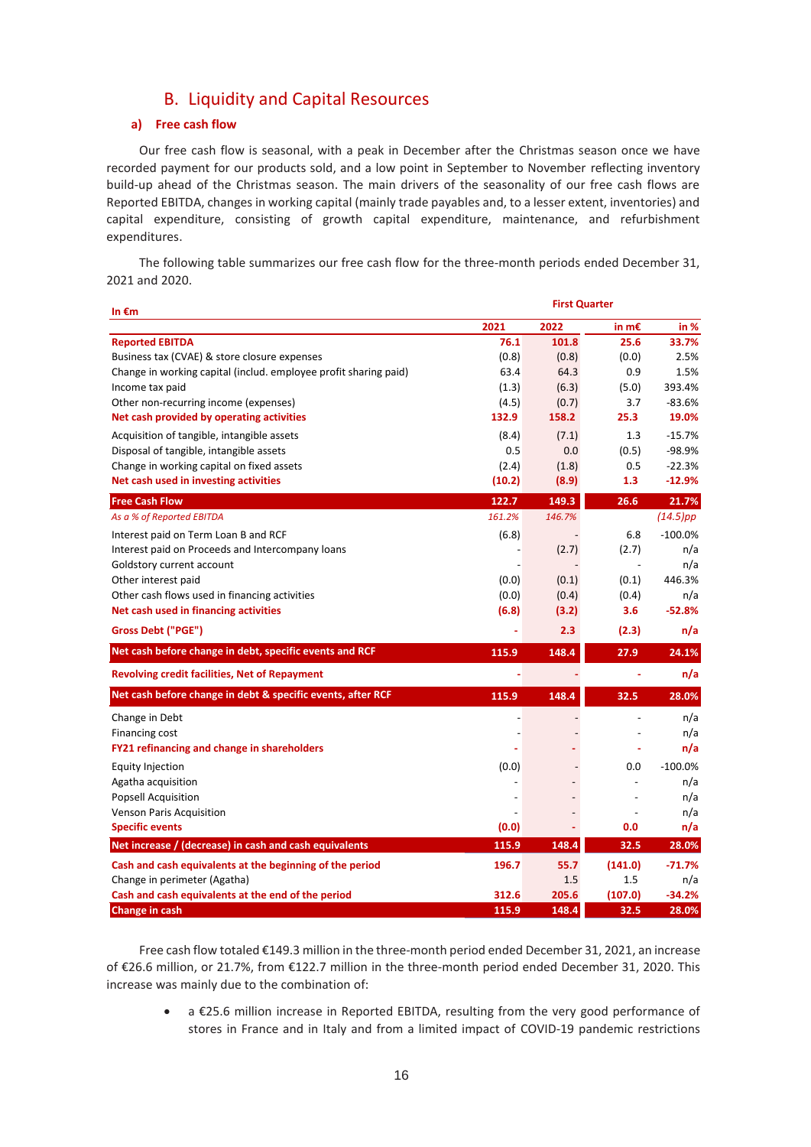# B. Liquidity and Capital Resources

### **a) Free cash flow**

Our free cash flow is seasonal, with a peak in December after the Christmas season once we have recorded payment for our products sold, and a low point in September to November reflecting inventory build-up ahead of the Christmas season. The main drivers of the seasonality of our free cash flows are Reported EBITDA, changes in working capital (mainly trade payables and, to a lesser extent, inventories) and capital expenditure, consisting of growth capital expenditure, maintenance, and refurbishment expenditures.

The following table summarizes our free cash flow for the three-month periods ended December 31, 2021 and 2020.

| In $\epsilon$ m                                                  | <b>First Quarter</b> |                |                 |             |  |
|------------------------------------------------------------------|----------------------|----------------|-----------------|-------------|--|
|                                                                  | 2021                 | 2022           | in m $\epsilon$ | in %        |  |
| <b>Reported EBITDA</b>                                           | 76.1                 | 101.8          | 25.6            | 33.7%       |  |
| Business tax (CVAE) & store closure expenses                     | (0.8)                | (0.8)          | (0.0)           | 2.5%        |  |
| Change in working capital (includ. employee profit sharing paid) | 63.4                 | 64.3           | 0.9             | 1.5%        |  |
| Income tax paid                                                  | (1.3)                | (6.3)          | (5.0)           | 393.4%      |  |
| Other non-recurring income (expenses)                            | (4.5)                | (0.7)          | 3.7             | $-83.6%$    |  |
| Net cash provided by operating activities                        | 132.9                | 158.2          | 25.3            | 19.0%       |  |
| Acquisition of tangible, intangible assets                       | (8.4)                | (7.1)          | 1.3             | $-15.7%$    |  |
| Disposal of tangible, intangible assets                          | 0.5                  | 0.0            | (0.5)           | $-98.9%$    |  |
| Change in working capital on fixed assets                        | (2.4)                | (1.8)          | 0.5             | $-22.3%$    |  |
| Net cash used in investing activities                            | (10.2)               | (8.9)          | 1.3             | $-12.9%$    |  |
| <b>Free Cash Flow</b>                                            | 122.7                | 149.3          | 26.6            | 21.7%       |  |
| As a % of Reported EBITDA                                        | 161.2%               | 146.7%         |                 | $(14.5)$ pp |  |
| Interest paid on Term Loan B and RCF                             | (6.8)                |                | 6.8             | $-100.0%$   |  |
| Interest paid on Proceeds and Intercompany loans                 |                      | (2.7)          | (2.7)           | n/a         |  |
| Goldstory current account                                        |                      |                |                 | n/a         |  |
| Other interest paid                                              | (0.0)                | (0.1)          | (0.1)           | 446.3%      |  |
| Other cash flows used in financing activities                    | (0.0)                | (0.4)          | (0.4)           | n/a         |  |
| Net cash used in financing activities                            | (6.8)                | (3.2)          | 3.6             | $-52.8%$    |  |
| <b>Gross Debt ("PGE")</b>                                        |                      | 2.3            | (2.3)           | n/a         |  |
| Net cash before change in debt, specific events and RCF          | 115.9                | 148.4          | 27.9            | 24.1%       |  |
| Revolving credit facilities, Net of Repayment                    |                      |                | ÷               | n/a         |  |
| Net cash before change in debt & specific events, after RCF      | 115.9                | 148.4          | 32.5            | 28.0%       |  |
| Change in Debt                                                   |                      |                | $\overline{a}$  | n/a         |  |
| Financing cost                                                   |                      |                |                 | n/a         |  |
| FY21 refinancing and change in shareholders                      |                      |                |                 | n/a         |  |
| Equity Injection                                                 | (0.0)                |                | 0.0             | $-100.0%$   |  |
| Agatha acquisition                                               |                      |                | $\overline{a}$  | n/a         |  |
| <b>Popsell Acquisition</b>                                       |                      | $\overline{a}$ |                 | n/a         |  |
| Venson Paris Acquisition                                         |                      | $\overline{a}$ |                 | n/a         |  |
| <b>Specific events</b>                                           | (0.0)                | ÷.             | 0.0             | n/a         |  |
| Net increase / (decrease) in cash and cash equivalents           | 115.9                | 148.4          | 32.5            | 28.0%       |  |
| Cash and cash equivalents at the beginning of the period         | 196.7                | 55.7           | (141.0)         | $-71.7%$    |  |
| Change in perimeter (Agatha)                                     |                      | 1.5            | 1.5             | n/a         |  |
| Cash and cash equivalents at the end of the period               | 312.6                | 205.6          | (107.0)         | $-34.2%$    |  |
| Change in cash                                                   | 115.9                | 148.4          | 32.5            | 28.0%       |  |

Free cash flow totaled €149.3 million in the three-month period ended December 31, 2021, an increase of €26.6 million, or 21.7%, from €122.7 million in the three-month period ended December 31, 2020. This increase was mainly due to the combination of:

• a €25.6 million increase in Reported EBITDA, resulting from the very good performance of stores in France and in Italy and from a limited impact of COVID-19 pandemic restrictions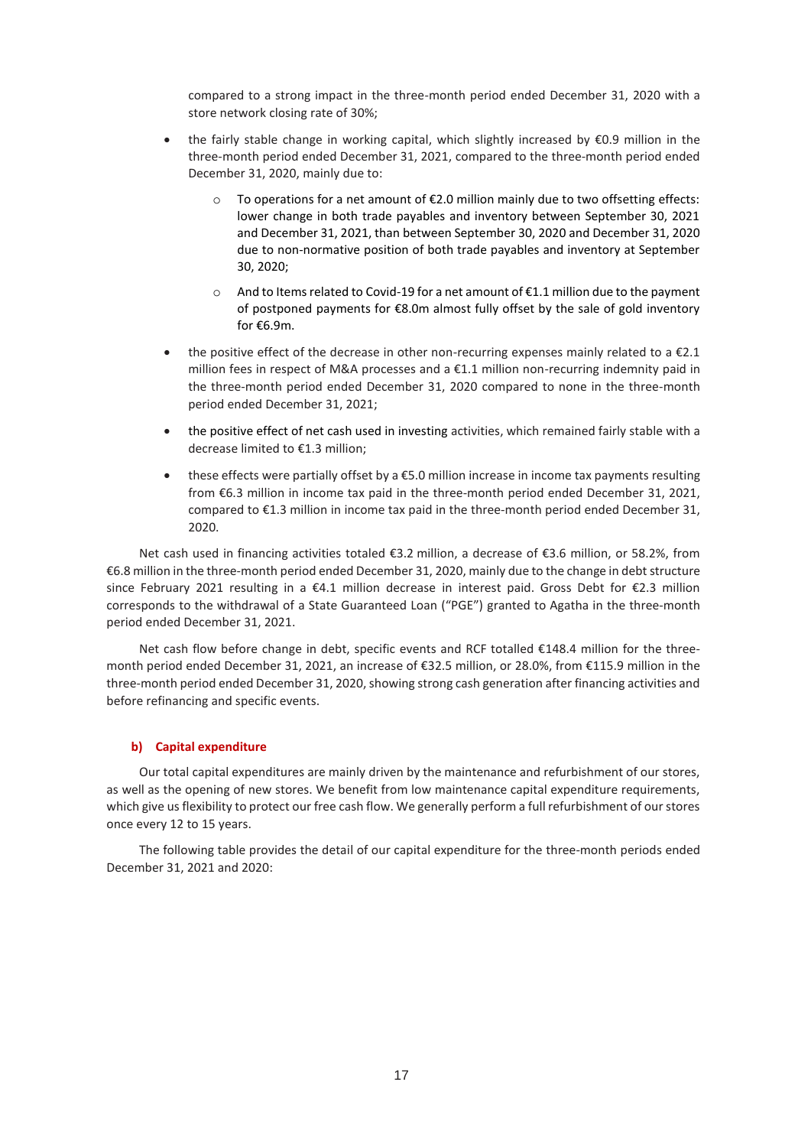compared to a strong impact in the three-month period ended December 31, 2020 with a store network closing rate of 30%;

- the fairly stable change in working capital, which slightly increased by €0.9 million in the three-month period ended December 31, 2021, compared to the three-month period ended December 31, 2020, mainly due to:
	- $\circ$  To operations for a net amount of  $\epsilon$ 2.0 million mainly due to two offsetting effects: lower change in both trade payables and inventory between September 30, 2021 and December 31, 2021, than between September 30, 2020 and December 31, 2020 due to non-normative position of both trade payables and inventory at September 30, 2020;
	- $\circ$  And to Items related to Covid-19 for a net amount of  $\epsilon$ 1.1 million due to the payment of postponed payments for €8.0m almost fully offset by the sale of gold inventory for €6.9m.
- the positive effect of the decrease in other non-recurring expenses mainly related to a  $E$ 2.1 million fees in respect of M&A processes and a €1.1 million non-recurring indemnity paid in the three-month period ended December 31, 2020 compared to none in the three-month period ended December 31, 2021;
- the positive effect of net cash used in investing activities, which remained fairly stable with a decrease limited to €1.3 million;
- these effects were partially offset by a €5.0 million increase in income tax payments resulting from €6.3 million in income tax paid in the three-month period ended December 31, 2021, compared to €1.3 million in income tax paid in the three-month period ended December 31, 2020.

Net cash used in financing activities totaled €3.2 million, a decrease of €3.6 million, or 58.2%, from €6.8 million in the three-month period ended December 31, 2020, mainly due to the change in debt structure since February 2021 resulting in a €4.1 million decrease in interest paid. Gross Debt for €2.3 million corresponds to the withdrawal of a State Guaranteed Loan ("PGE") granted to Agatha in the three-month period ended December 31, 2021.

Net cash flow before change in debt, specific events and RCF totalled €148.4 million for the threemonth period ended December 31, 2021, an increase of €32.5 million, or 28.0%, from €115.9 million in the three-month period ended December 31, 2020, showing strong cash generation after financing activities and before refinancing and specific events.

## **b) Capital expenditure**

Our total capital expenditures are mainly driven by the maintenance and refurbishment of our stores, as well as the opening of new stores. We benefit from low maintenance capital expenditure requirements, which give us flexibility to protect our free cash flow. We generally perform a full refurbishment of our stores once every 12 to 15 years.

The following table provides the detail of our capital expenditure for the three-month periods ended December 31, 2021 and 2020: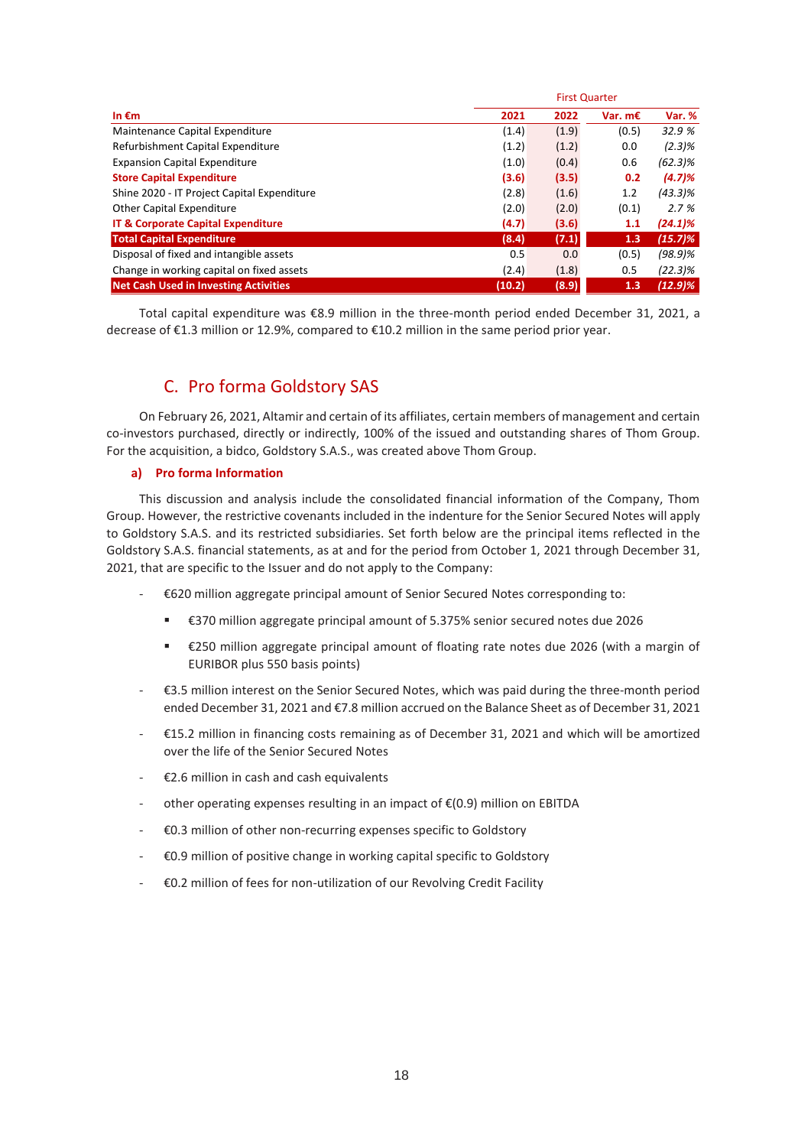|                                               | <b>First Quarter</b> |       |           |            |  |  |
|-----------------------------------------------|----------------------|-------|-----------|------------|--|--|
| In $\epsilon$ m                               | 2021                 | 2022  | Var. $mE$ | Var. %     |  |  |
| Maintenance Capital Expenditure               | (1.4)                | (1.9) | (0.5)     | 32.9 %     |  |  |
| Refurbishment Capital Expenditure             | (1.2)                | (1.2) | 0.0       | (2.3)%     |  |  |
| <b>Expansion Capital Expenditure</b>          | (1.0)                | (0.4) | 0.6       | $(62.3)\%$ |  |  |
| <b>Store Capital Expenditure</b>              | (3.6)                | (3.5) | 0.2       | (4.7)%     |  |  |
| Shine 2020 - IT Project Capital Expenditure   | (2.8)                | (1.6) | 1.2       | $(43.3)\%$ |  |  |
| Other Capital Expenditure                     | (2.0)                | (2.0) | (0.1)     | 2.7%       |  |  |
| <b>IT &amp; Corporate Capital Expenditure</b> | (4.7)                | (3.6) | 1.1       | $(24.1)\%$ |  |  |
| <b>Total Capital Expenditure</b>              | (8.4)                | (7.1) | 1.3       | $(15.7)\%$ |  |  |
| Disposal of fixed and intangible assets       | 0.5                  | 0.0   | (0.5)     | $(98.9)\%$ |  |  |
| Change in working capital on fixed assets     | (2.4)                | (1.8) | 0.5       | $(22.3)\%$ |  |  |
| <b>Net Cash Used in Investing Activities</b>  | (10.2)               | (8.9) | 1.3       | (12.9)%    |  |  |

Total capital expenditure was €8.9 million in the three-month period ended December 31, 2021, a decrease of €1.3 million or 12.9%, compared to €10.2 million in the same period prior year.

# C. Pro forma Goldstory SAS

On February 26, 2021, Altamir and certain of its affiliates, certain members of management and certain co-investors purchased, directly or indirectly, 100% of the issued and outstanding shares of Thom Group. For the acquisition, a bidco, Goldstory S.A.S., was created above Thom Group.

## **a) Pro forma Information**

This discussion and analysis include the consolidated financial information of the Company, Thom Group. However, the restrictive covenants included in the indenture for the Senior Secured Notes will apply to Goldstory S.A.S. and its restricted subsidiaries. Set forth below are the principal items reflected in the Goldstory S.A.S. financial statements, as at and for the period from October 1, 2021 through December 31, 2021, that are specific to the Issuer and do not apply to the Company:

- €620 million aggregate principal amount of Senior Secured Notes corresponding to:
	- €370 million aggregate principal amount of 5.375% senior secured notes due 2026
	- €250 million aggregate principal amount of floating rate notes due 2026 (with a margin of EURIBOR plus 550 basis points)
- €3.5 million interest on the Senior Secured Notes, which was paid during the three-month period ended December 31, 2021 and €7.8 million accrued on the Balance Sheet as of December 31, 2021
- €15.2 million in financing costs remaining as of December 31, 2021 and which will be amortized over the life of the Senior Secured Notes
- $£2.6$  million in cash and cash equivalents
- other operating expenses resulting in an impact of  $E(0.9)$  million on EBITDA
- €0.3 million of other non-recurring expenses specific to Goldstory
- €0.9 million of positive change in working capital specific to Goldstory
- €0.2 million of fees for non-utilization of our Revolving Credit Facility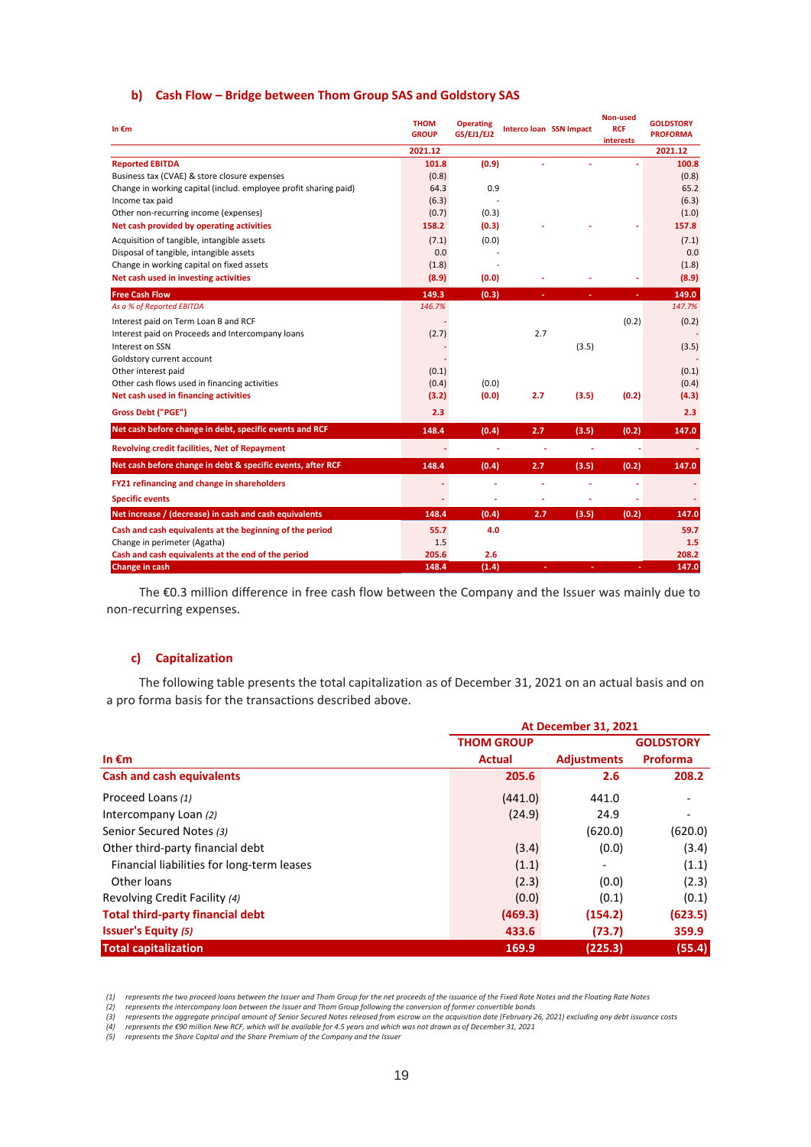### **b) Cash Flow – Bridge between Thom Group SAS and Goldstory SAS**

| In $\epsilon$ m                                                  | <b>THOM</b><br><b>GROUP</b> | <b>Operating</b><br><b>GS/EJ1/EJ2</b> |     | Interco loan SSN Impact | Non-used<br><b>RCF</b><br>interests | <b>GOLDSTORY</b><br><b>PROFORMA</b> |
|------------------------------------------------------------------|-----------------------------|---------------------------------------|-----|-------------------------|-------------------------------------|-------------------------------------|
|                                                                  | 2021.12                     |                                       |     |                         |                                     | 2021.12                             |
| <b>Reported EBITDA</b>                                           | 101.8                       | (0.9)                                 |     |                         |                                     | 100.8                               |
| Business tax (CVAE) & store closure expenses                     | (0.8)                       |                                       |     |                         |                                     | (0.8)                               |
| Change in working capital (includ. employee profit sharing paid) | 64.3                        | 0.9                                   |     |                         |                                     | 65.2                                |
| Income tax paid                                                  | (6.3)                       |                                       |     |                         |                                     | (6.3)                               |
| Other non-recurring income (expenses)                            | (0.7)                       | (0.3)                                 |     |                         |                                     | (1.0)                               |
| Net cash provided by operating activities                        | 158.2                       | (0.3)                                 |     |                         |                                     | 157.8                               |
| Acquisition of tangible, intangible assets                       | (7.1)                       | (0.0)                                 |     |                         |                                     | (7.1)                               |
| Disposal of tangible, intangible assets                          | 0.0                         |                                       |     |                         |                                     | 0.0                                 |
| Change in working capital on fixed assets                        | (1.8)                       |                                       |     |                         |                                     | (1.8)                               |
| Net cash used in investing activities                            | (8.9)                       | (0.0)                                 |     |                         |                                     | (8.9)                               |
| <b>Free Cash Flow</b>                                            | 149.3                       | (0.3)                                 |     |                         |                                     | 149.0                               |
| As a % of Reported EBITDA                                        | 146.7%                      |                                       |     |                         |                                     | 147.7%                              |
| Interest paid on Term Loan B and RCF                             |                             |                                       |     |                         | (0.2)                               | (0.2)                               |
| Interest paid on Proceeds and Intercompany loans                 | (2.7)                       |                                       | 2.7 |                         |                                     |                                     |
| Interest on SSN                                                  |                             |                                       |     | (3.5)                   |                                     | (3.5)                               |
| Goldstory current account                                        |                             |                                       |     |                         |                                     |                                     |
| Other interest paid                                              | (0.1)                       |                                       |     |                         |                                     | (0.1)                               |
| Other cash flows used in financing activities                    | (0.4)                       | (0.0)                                 |     |                         |                                     | (0.4)                               |
| Net cash used in financing activities                            | (3.2)                       | (0.0)                                 | 2.7 | (3.5)                   | (0.2)                               | (4.3)                               |
| Gross Debt ("PGE")                                               | 2.3                         |                                       |     |                         |                                     | 2.3                                 |
| Net cash before change in debt, specific events and RCF          | 148.4                       | (0.4)                                 | 2.7 | (3.5)                   | (0.2)                               | 147.0                               |
| <b>Revolving credit facilities, Net of Repayment</b>             |                             |                                       |     |                         |                                     |                                     |
| Net cash before change in debt & specific events, after RCF      | 148.4                       | (0.4)                                 | 2.7 | (3.5)                   | (0.2)                               | 147.0                               |
| FY21 refinancing and change in shareholders                      |                             |                                       |     |                         |                                     |                                     |
| <b>Specific events</b>                                           |                             |                                       |     |                         |                                     |                                     |
| Net increase / (decrease) in cash and cash equivalents           | 148.4                       | (0.4)                                 | 2.7 | (3.5)                   | (0.2)                               | 147.0                               |
| Cash and cash equivalents at the beginning of the period         | 55.7                        | 4.0                                   |     |                         |                                     | 59.7                                |
| Change in perimeter (Agatha)                                     | 1.5                         |                                       |     |                         |                                     | 1.5                                 |
| Cash and cash equivalents at the end of the period               | 205.6                       | 2.6                                   |     |                         |                                     | 208.2                               |
| Change in cash                                                   | 148.4                       | (1.4)                                 |     |                         |                                     | 147.0                               |

The €0.3 million difference in free cash flow between the Company and the Issuer was mainly due to non-recurring expenses.

### **c) Capitalization**

The following table presents the total capitalization as of December 31, 2021 on an actual basis and on a pro forma basis for the transactions described above.

|                                            |                   | <b>At December 31, 2021</b> |                  |  |  |
|--------------------------------------------|-------------------|-----------------------------|------------------|--|--|
|                                            | <b>THOM GROUP</b> |                             | <b>GOLDSTORY</b> |  |  |
| In $\epsilon$ m                            | <b>Actual</b>     | <b>Adjustments</b>          | Proforma         |  |  |
| <b>Cash and cash equivalents</b>           | 205.6             | 2.6                         | 208.2            |  |  |
| Proceed Loans (1)                          | (441.0)           | 441.0                       |                  |  |  |
| Intercompany Loan (2)                      | (24.9)            | 24.9                        |                  |  |  |
| Senior Secured Notes (3)                   |                   | (620.0)                     | (620.0)          |  |  |
| Other third-party financial debt           | (3.4)             | (0.0)                       | (3.4)            |  |  |
| Financial liabilities for long-term leases | (1.1)             | -                           | (1.1)            |  |  |
| Other loans                                | (2.3)             | (0.0)                       | (2.3)            |  |  |
| Revolving Credit Facility (4)              | (0.0)             | (0.1)                       | (0.1)            |  |  |
| <b>Total third-party financial debt</b>    | (469.3)           | (154.2)                     | (623.5)          |  |  |
| <b>Issuer's Equity (5)</b>                 | 433.6             | (73.7)                      | 359.9            |  |  |
| <b>Total capitalization</b>                | 169.9             | (225.3)                     | (55.4)           |  |  |

(1) represents the two proceed loans between the Issuer and Thom Group for the net proceeds of the issuance of the Fixed Rate Notes and the Floating Rate Notes<br>(2) represents the intercompany loan between the Issuer and Th

*(3) represents the aggregate principal amount of Senior Secured Notes released from escrow on the acquisition date (February 26, 2021) excluding any debt issuance costs*

(4) represents the €90 million New RCF, which will be available for 4.5 years and which was not drawn as of December 31, 2021<br>(5) represents the Share Capital and the Share Premium of the Company and the Issuer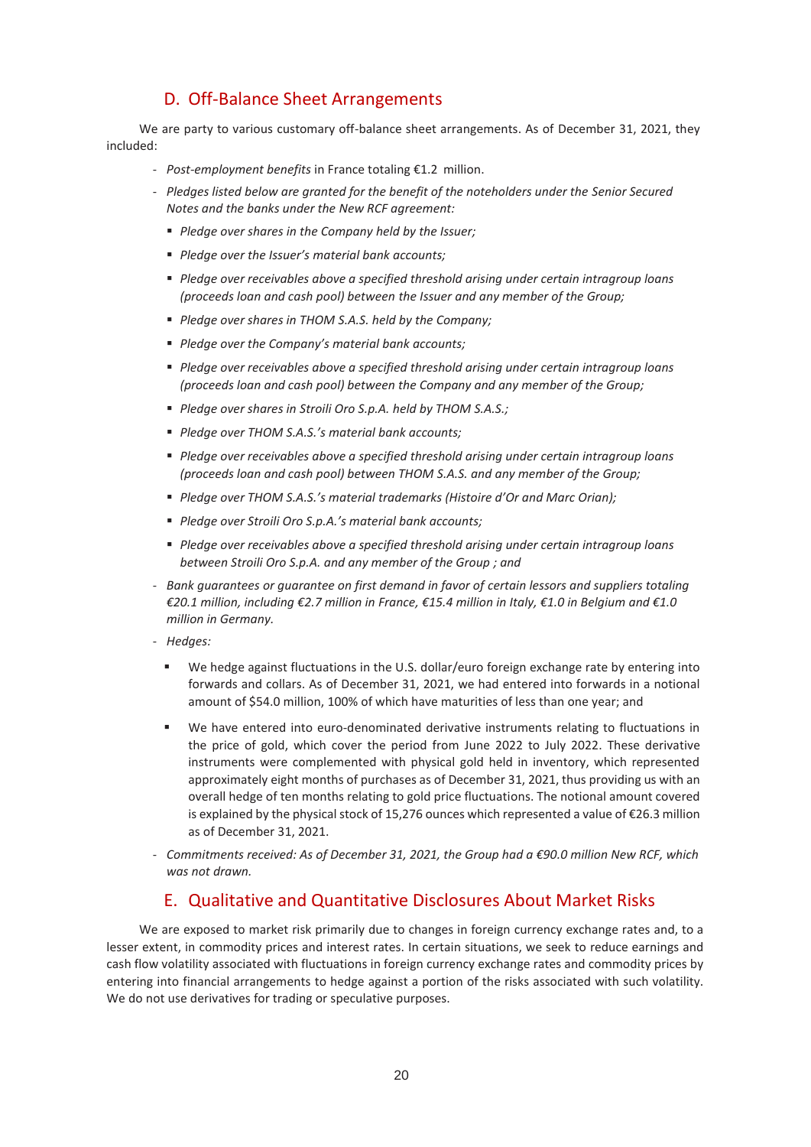# D. Off-Balance Sheet Arrangements

We are party to various customary off-balance sheet arrangements. As of December 31, 2021, they included:

- *Post-employment benefits* in France totaling €1.2 million.
- *Pledges listed below are granted for the benefit of the noteholders under the Senior Secured Notes and the banks under the New RCF agreement:*
	- *Pledge over shares in the Company held by the Issuer;*
	- *Pledge over the Issuer's material bank accounts;*
	- *Pledge over receivables above a specified threshold arising under certain intragroup loans (proceeds loan and cash pool) between the Issuer and any member of the Group;*
	- *Pledge over shares in THOM S.A.S. held by the Company;*
	- *Pledge over the Company's material bank accounts;*
	- *Pledge over receivables above a specified threshold arising under certain intragroup loans (proceeds loan and cash pool) between the Company and any member of the Group;*
	- *Pledge over shares in Stroili Oro S.p.A. held by THOM S.A.S.;*
	- *Pledge over THOM S.A.S.'s material bank accounts;*
	- *Pledge over receivables above a specified threshold arising under certain intragroup loans (proceeds loan and cash pool) between THOM S.A.S. and any member of the Group;*
	- *Pledge over THOM S.A.S.'s material trademarks (Histoire d'Or and Marc Orian);*
	- *Pledge over Stroili Oro S.p.A.'s material bank accounts;*
	- *Pledge over receivables above a specified threshold arising under certain intragroup loans between Stroili Oro S.p.A. and any member of the Group ; and*
- *Bank guarantees or guarantee on first demand in favor of certain lessors and suppliers totaling €20.1 million, including €2.7 million in France, €15.4 million in Italy, €1.0 in Belgium and €1.0 million in Germany.*
- *Hedges:*
	- We hedge against fluctuations in the U.S. dollar/euro foreign exchange rate by entering into forwards and collars. As of December 31, 2021, we had entered into forwards in a notional amount of \$54.0 million, 100% of which have maturities of less than one year; and
	- We have entered into euro-denominated derivative instruments relating to fluctuations in the price of gold, which cover the period from June 2022 to July 2022. These derivative instruments were complemented with physical gold held in inventory, which represented approximately eight months of purchases as of December 31, 2021, thus providing us with an overall hedge of ten months relating to gold price fluctuations. The notional amount covered is explained by the physical stock of 15,276 ounces which represented a value of €26.3 million as of December 31, 2021.
- *Commitments received: As of December 31, 2021, the Group had a €90.0 million New RCF, which was not drawn.*

# E. Qualitative and Quantitative Disclosures About Market Risks

We are exposed to market risk primarily due to changes in foreign currency exchange rates and, to a lesser extent, in commodity prices and interest rates. In certain situations, we seek to reduce earnings and cash flow volatility associated with fluctuations in foreign currency exchange rates and commodity prices by entering into financial arrangements to hedge against a portion of the risks associated with such volatility. We do not use derivatives for trading or speculative purposes.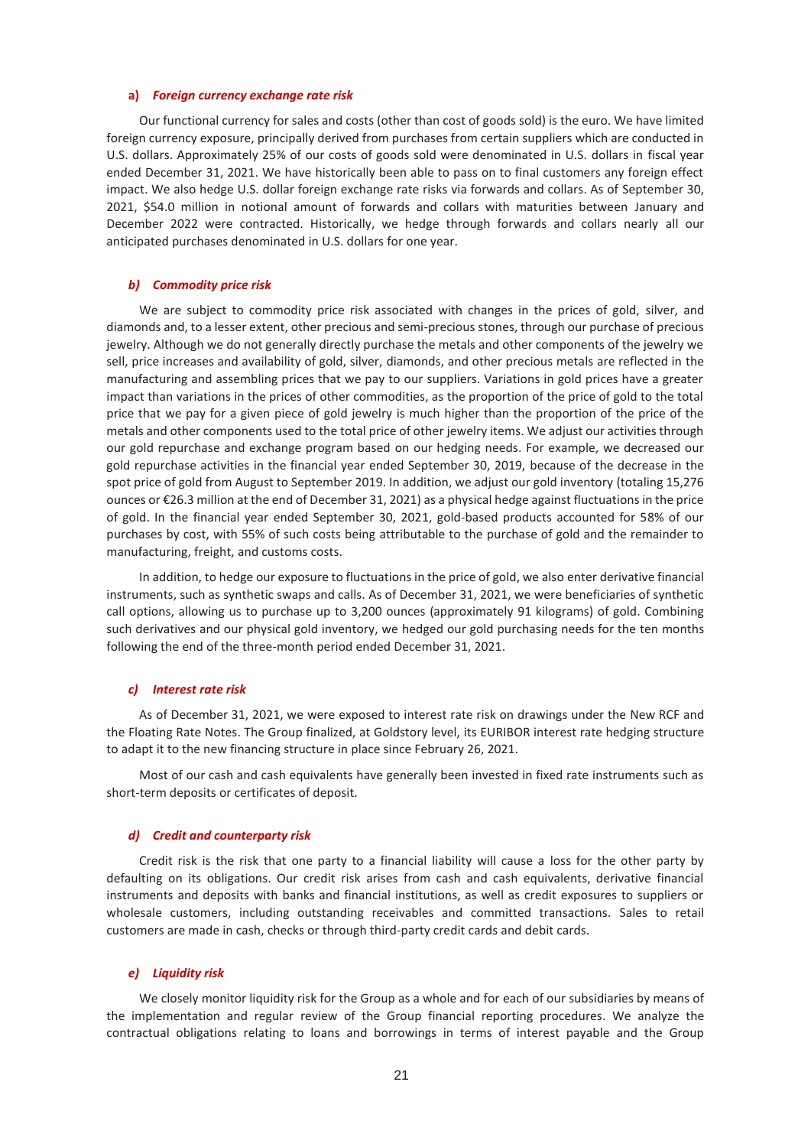#### **a)** *Foreign currency exchange rate risk*

Our functional currency for sales and costs (other than cost of goods sold) is the euro. We have limited foreign currency exposure, principally derived from purchases from certain suppliers which are conducted in U.S. dollars. Approximately 25% of our costs of goods sold were denominated in U.S. dollars in fiscal year ended December 31, 2021. We have historically been able to pass on to final customers any foreign effect impact. We also hedge U.S. dollar foreign exchange rate risks via forwards and collars. As of September 30, 2021, \$54.0 million in notional amount of forwards and collars with maturities between January and December 2022 were contracted. Historically, we hedge through forwards and collars nearly all our anticipated purchases denominated in U.S. dollars for one year.

#### *b) Commodity price risk*

We are subject to commodity price risk associated with changes in the prices of gold, silver, and diamonds and, to a lesser extent, other precious and semi-precious stones, through our purchase of precious jewelry. Although we do not generally directly purchase the metals and other components of the jewelry we sell, price increases and availability of gold, silver, diamonds, and other precious metals are reflected in the manufacturing and assembling prices that we pay to our suppliers. Variations in gold prices have a greater impact than variations in the prices of other commodities, as the proportion of the price of gold to the total price that we pay for a given piece of gold jewelry is much higher than the proportion of the price of the metals and other components used to the total price of other jewelry items. We adjust our activities through our gold repurchase and exchange program based on our hedging needs. For example, we decreased our gold repurchase activities in the financial year ended September 30, 2019, because of the decrease in the spot price of gold from August to September 2019. In addition, we adjust our gold inventory (totaling 15,276 ounces or €26.3 million at the end of December 31, 2021) as a physical hedge against fluctuations in the price of gold. In the financial year ended September 30, 2021, gold-based products accounted for 58% of our purchases by cost, with 55% of such costs being attributable to the purchase of gold and the remainder to manufacturing, freight, and customs costs.

In addition, to hedge our exposure to fluctuations in the price of gold, we also enter derivative financial instruments, such as synthetic swaps and calls. As of December 31, 2021, we were beneficiaries of synthetic call options, allowing us to purchase up to 3,200 ounces (approximately 91 kilograms) of gold. Combining such derivatives and our physical gold inventory, we hedged our gold purchasing needs for the ten months following the end of the three-month period ended December 31, 2021.

#### *c) Interest rate risk*

As of December 31, 2021, we were exposed to interest rate risk on drawings under the New RCF and the Floating Rate Notes. The Group finalized, at Goldstory level, its EURIBOR interest rate hedging structure to adapt it to the new financing structure in place since February 26, 2021.

Most of our cash and cash equivalents have generally been invested in fixed rate instruments such as short-term deposits or certificates of deposit.

#### *d) Credit and counterparty risk*

Credit risk is the risk that one party to a financial liability will cause a loss for the other party by defaulting on its obligations. Our credit risk arises from cash and cash equivalents, derivative financial instruments and deposits with banks and financial institutions, as well as credit exposures to suppliers or wholesale customers, including outstanding receivables and committed transactions. Sales to retail customers are made in cash, checks or through third-party credit cards and debit cards.

#### *e) Liquidity risk*

We closely monitor liquidity risk for the Group as a whole and for each of our subsidiaries by means of the implementation and regular review of the Group financial reporting procedures. We analyze the contractual obligations relating to loans and borrowings in terms of interest payable and the Group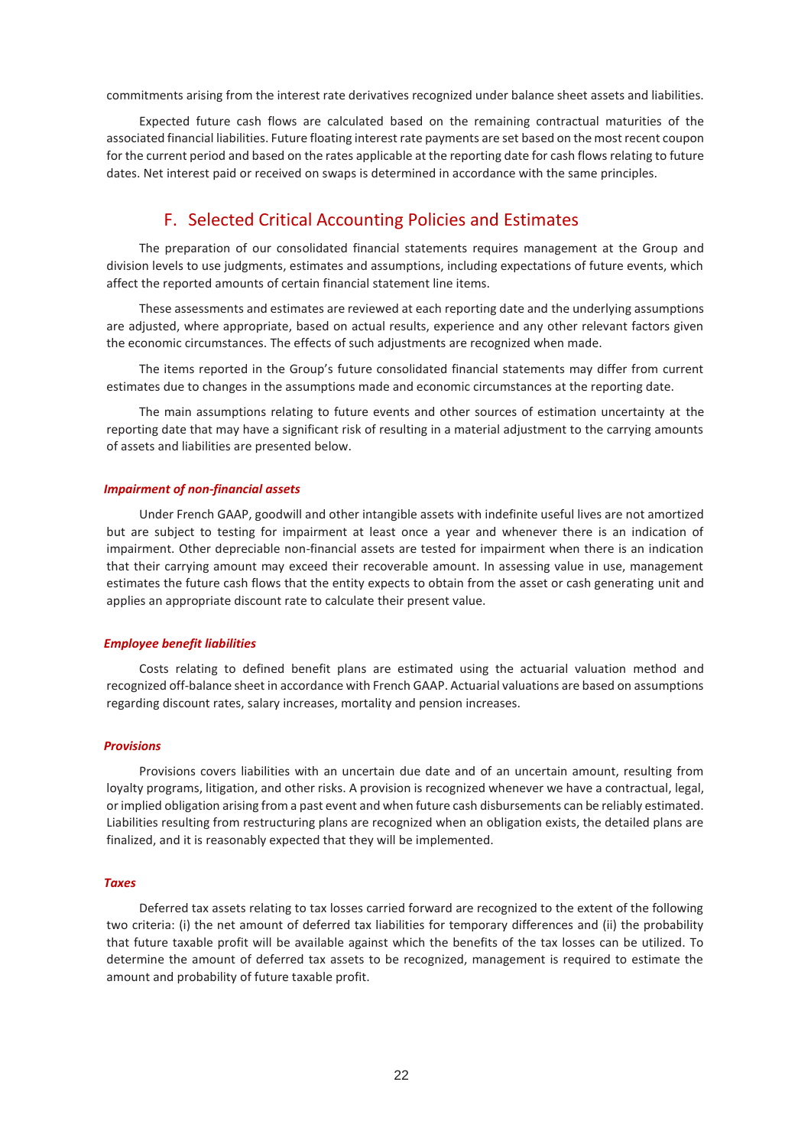commitments arising from the interest rate derivatives recognized under balance sheet assets and liabilities.

Expected future cash flows are calculated based on the remaining contractual maturities of the associated financial liabilities. Future floating interest rate payments are set based on the most recent coupon for the current period and based on the rates applicable at the reporting date for cash flows relating to future dates. Net interest paid or received on swaps is determined in accordance with the same principles.

# F. Selected Critical Accounting Policies and Estimates

The preparation of our consolidated financial statements requires management at the Group and division levels to use judgments, estimates and assumptions, including expectations of future events, which affect the reported amounts of certain financial statement line items.

These assessments and estimates are reviewed at each reporting date and the underlying assumptions are adjusted, where appropriate, based on actual results, experience and any other relevant factors given the economic circumstances. The effects of such adjustments are recognized when made.

The items reported in the Group's future consolidated financial statements may differ from current estimates due to changes in the assumptions made and economic circumstances at the reporting date.

The main assumptions relating to future events and other sources of estimation uncertainty at the reporting date that may have a significant risk of resulting in a material adjustment to the carrying amounts of assets and liabilities are presented below.

#### *Impairment of non-financial assets*

Under French GAAP, goodwill and other intangible assets with indefinite useful lives are not amortized but are subject to testing for impairment at least once a year and whenever there is an indication of impairment. Other depreciable non-financial assets are tested for impairment when there is an indication that their carrying amount may exceed their recoverable amount. In assessing value in use, management estimates the future cash flows that the entity expects to obtain from the asset or cash generating unit and applies an appropriate discount rate to calculate their present value.

#### *Employee benefit liabilities*

Costs relating to defined benefit plans are estimated using the actuarial valuation method and recognized off-balance sheet in accordance with French GAAP. Actuarial valuations are based on assumptions regarding discount rates, salary increases, mortality and pension increases.

#### *Provisions*

Provisions covers liabilities with an uncertain due date and of an uncertain amount, resulting from loyalty programs, litigation, and other risks. A provision is recognized whenever we have a contractual, legal, or implied obligation arising from a past event and when future cash disbursements can be reliably estimated. Liabilities resulting from restructuring plans are recognized when an obligation exists, the detailed plans are finalized, and it is reasonably expected that they will be implemented.

#### *Taxes*

Deferred tax assets relating to tax losses carried forward are recognized to the extent of the following two criteria: (i) the net amount of deferred tax liabilities for temporary differences and (ii) the probability that future taxable profit will be available against which the benefits of the tax losses can be utilized. To determine the amount of deferred tax assets to be recognized, management is required to estimate the amount and probability of future taxable profit.